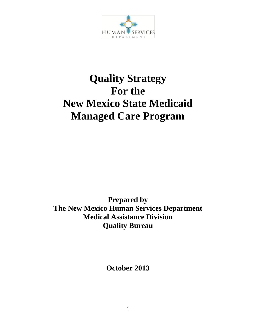

# **Quality Strategy For the New Mexico State Medicaid Managed Care Program**

**Prepared by The New Mexico Human Services Department Medical Assistance Division Quality Bureau**

**October 2013**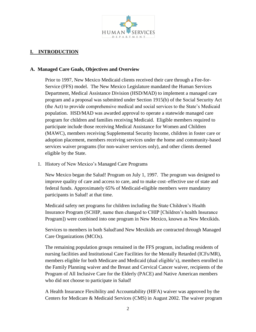

# **I. INTRODUCTION**

#### **A. Managed Care Goals, Objectives and Overview**

Prior to 1997, New Mexico Medicaid clients received their care through a Fee-for-Service (FFS) model. The New Mexico Legislature mandated the Human Services Department, Medical Assistance Division (HSD/MAD) to implement a managed care program and a proposal was submitted under Section 1915(b) of the Social Security Act (the Act) to provide comprehensive medical and social services to the State's Medicaid population. HSD/MAD was awarded approval to operate a statewide managed care program for children and families receiving Medicaid. Eligible members required to participate include those receiving Medical Assistance for Women and Children (MAWC), members receiving Supplemental Security Income, children in foster care or adoption placement, members receiving services under the home and community-based services waiver programs (for non-waiver services only), and other clients deemed eligible by the State.

1. History of New Mexico's Managed Care Programs

New Mexico began the Salud! Program on July 1, 1997. The program was designed to improve quality of care and access to care, and to make cost–effective use of state and federal funds. Approximately 65% of Medicaid-eligible members were mandatory participants in Salud! at that time.

Medicaid safety net programs for children including the State Children's Health Insurance Program (SCHIP, name then changed to CHIP [Children's health Insurance Program]) were combined into one program in New Mexico, known as New Mexikids.

Services to members in both Salud!and New Mexikids are contracted through Managed Care Organizations (MCOs).

The remaining population groups remained in the FFS program, including residents of nursing facilities and Institutional Care Facilities for the Mentally Retarded (ICFs/MR), members eligible for both Medicare and Medicaid (dual eligible's), members enrolled in the Family Planning waiver and the Breast and Cervical Cancer waiver, recipients of the Program of All Inclusive Care for the Elderly (PACE) and Native American members who did not choose to participate in Salud!

A Health Insurance Flexibility and Accountability (HIFA) waiver was approved by the Centers for Medicare & Medicaid Services (CMS) in August 2002. The waiver program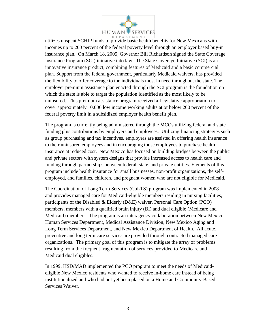

utilizes unspent SCHIP funds to provide basic health benefits for New Mexicans with incomes up to 200 percent of the federal poverty level through an employer based buy-in insurance plan. On March 18, 2005, Governor Bill Richardson signed the State Coverage Insurance Program (SCI) initiative into law. The State Coverage Initiative (SCI) is an innovative insurance product, combining features of Medicaid and a basic commercial plan. Support from the federal government, particularly Medicaid waivers, has provided the flexibility to offer coverage to the individuals most in need throughout the state. The employer premium assistance plan enacted through the SCI program is the foundation on which the state is able to target the population identified as the most likely to be uninsured. This premium assistance program received a Legislative appropriation to cover approximately 10,000 low income working adults at or below 200 percent of the federal poverty limit in a subsidized employer health benefit plan.

The program is currently being administered through the MCOs utilizing federal and state funding plus contributions by employers and employees. Utilizing financing strategies such as group purchasing and tax incentives, employers are assisted in offering health insurance to their uninsured employees and in encouraging those employees to purchase health insurance at reduced cost. New Mexico has focused on building bridges between the public and private sectors with system designs that provide increased access to health care and funding through partnerships between federal, state, and private entities. Elements of this program include health insurance for small businesses, non-profit organizations, the selfemployed, and families, children, and pregnant women who are not eligible for Medicaid.

The Coordination of Long Term Services (CoLTS) program was implemented in 2008 and provides managed care for Medicaid-eligible members residing in nursing facilities, participants of the Disabled & Elderly (D&E) waiver, Personal Care Option (PCO) members, members with a qualified brain injury (BI) and dual eligible (Medicare and Medicaid) members. The program is an interagency collaboration between New Mexico Human Services Department, Medical Assistance Division, New Mexico Aging and Long Term Services Department, and New Mexico Department of Health. All acute, preventive and long term care services are provided through contracted managed care organizations. The primary goal of this program is to mitigate the array of problems resulting from the frequent fragmentation of services provided to Medicare and Medicaid dual eligibles.

In 1999, HSD/MAD implemented the PCO program to meet the needs of Medicaideligible New Mexico residents who wanted to receive in-home care instead of being institutionalized and who had not yet been placed on a Home and Community-Based Services Waiver.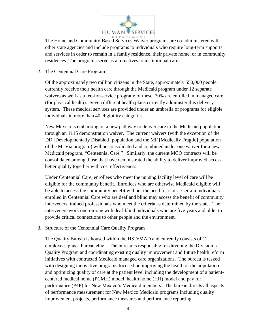

The Home and Community-Based Services Waiver programs are co-administered with other state agencies and include programs to individuals who require long-term supports and services in order to remain in a family residence, their private home, or in community residences. The programs serve as alternatives to institutional care.

## 2. The Centennial Care Program

Of the approximately two million citizens in the State, approximately 550,000 people currently receive their health care through the Medicaid program under 12 separate waivers as well as a fee-for-service program; of these, 70% are enrolled in managed care (for physical health). Seven different health plans currently administer this delivery system. These medical services are provided under an umbrella of programs for eligible individuals in more than 40 eligibility categories.

New Mexico is embarking on a new pathway to deliver care to the Medicaid population through an 1115 demonstration waiver. The current waivers (with the exception of the DD [Developmentally Disabled] population and the MF [Medically Fragile] population of the Mi Via program) will be consolidated and combined under one waiver for a new Medicaid program, "Centennial Care." Similarly, the current MCO contracts will be consolidated among those that have demonstrated the ability to deliver improved access, better quality together with cost effectiveness.

Under Centennial Care, enrollees who meet the nursing facility level of care will be eligible for the community benefit. Enrollees who are otherwise Medicaid eligible will be able to access the community benefit without the need for slots. Certain individuals enrolled in Centennial Care who are deaf and blind may access the benefit of community interveners, trained professionals who meet the criteria as determined by the state. The interveners work one-on-one with deaf-blind individuals who are five years and older to provide critical connections to other people and the environment.

#### 3. Structure of the Centennial Care Quality Program

The Quality Bureau is housed within the HSD/MAD and currently consists of 12 employees plus a bureau chief. The bureau is responsible for directing the Division's Quality Program and coordinating existing quality improvement and future health reform initiatives with contracted Medicaid managed care organizations. The bureau is tasked with designing innovative programs focused on improving the health of the population and optimizing quality of care at the patient level including the development of a patientcentered medical home (PCMH) model, health home (HH) model and pay for performance (P4P) for New Mexico's Medicaid members. The bureau directs all aspects of performance measurement for New Mexico Medicaid programs including quality improvement projects, performance measures and performance reporting.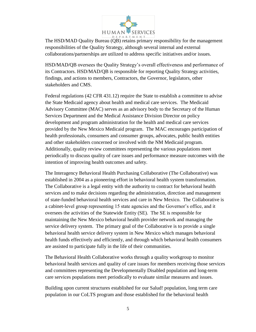

The HSD/MAD Quality Bureau (QB) retains primary responsibility for the management responsibilities of the Quality Strategy, although several internal and external collaborations/partnerships are utilized to address specific initiatives and/or issues.

HSD/MAD/QB oversees the Quality Strategy's overall effectiveness and performance of its Contractors. HSD/MAD/QB is responsible for reporting Quality Strategy activities, findings, and actions to members, Contractors, the Governor, legislators, other stakeholders and CMS.

Federal regulations (42 CFR 431.12) require the State to establish a committee to advise the State Medicaid agency about health and medical care services. The Medicaid Advisory Committee (MAC) serves as an advisory body to the Secretary of the Human Services Department and the Medical Assistance Division Director on policy development and program administration for the health and medical care services provided by the New Mexico Medicaid program. The MAC encourages participation of health professionals, consumers and consumer groups, advocates, public health entities and other stakeholders concerned or involved with the NM Medicaid program. Additionally, quality review committees representing the various populations meet periodically to discuss quality of care issues and performance measure outcomes with the intention of improving health outcomes and safety.

The Interagency Behavioral Health Purchasing Collaborative (The Collaborative) was established in 2004 as a pioneering effort in behavioral health system transformation. The Collaborative is a legal entity with the authority to contract for behavioral health services and to make decisions regarding the administration, direction and management of state-funded behavioral health services and care in New Mexico. The Collaborative is a cabinet-level group representing 15 state agencies and the Governor's office, and it oversees the activities of the Statewide Entity (SE). The SE is responsible for maintaining the New Mexico behavioral health provider network and managing the service delivery system. The primary goal of the Collaborative is to provide a single behavioral health service delivery system in New Mexico which manages behavioral health funds effectively and efficiently, and through which behavioral health consumers are assisted to participate fully in the life of their communities.

The Behavioral Health Collaborative works through a quality workgroup to monitor behavioral health services and quality of care issues for members receiving those services and committees representing the Developmentally Disabled population and long-term care services populations meet periodically to evaluate similar measures and issues.

Building upon current structures established for our Salud! population, long term care population in our CoLTS program and those established for the behavioral health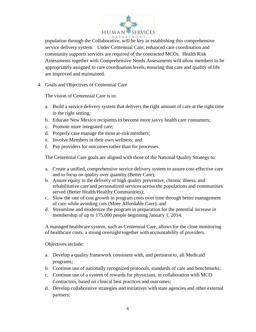

population through the Collaborative, will be key in establishing this comprehensive service delivery system. Under Centennial Care, enhanced care coordination and community supports services are required of the contracted MCOs. Health Risk Assessments together with Comprehensive Needs Assessments will allow members to be appropriately assigned to care coordination levels, ensuring that care and quality of life are improved and maintained.

4. Goals and Objectives of Centennial Care

The vision of Centennial Care is to:

- a. Build a service delivery system that delivers the right amount of care at the right time in the right setting;
- b. Educate New Mexico recipients to become more savvy health care consumers;
- c. Promote more integrated care;
- d. Properly case manage the most at-risk members;
- e. Involve Members in their own wellness; and
- f. Pay providers for outcomes rather than for processes.

The Centennial Care goals are aligned with those of the National Quality Strategy to:

- a. Create a unified, comprehensive service delivery system to assure cost-effective care and to focus on quality over quantity (Better Care);
- b. Assure equity in the delivery of high quality preventive, chronic illness, and rehabilitative care and personalized services across the populations and communities served (Better Health/Healthy Communities);
- c. Slow the rate of cost growth in program costs over time through better management of care while avoiding cuts (More Affordable Care); and
- d. Streamline and modernize the program in preparation for the potential increase in membership of up to 175,000 people beginning January 1, 2014.

A managed healthcare system, such as Centennial Care, allows for the close monitoring of healthcare costs, a strong oversight together with accountability of providers.

Objectives include:

- a. Develop a quality framework consistent with, and pertinent to, all Medicaid programs;
- b. Continue use of nationally recognized protocols, standards of care and benchmarks;
- c. Continue use of a system of rewards for physicians, in collaboration with MCO Contractors, based on clinical best practices and outcomes;
- d. Develop collaborative strategies and initiatives with state agencies and other external partners;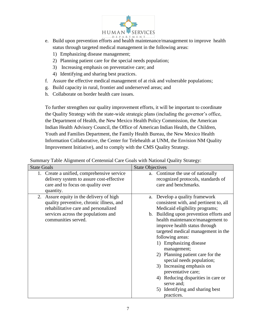

- e. Build upon prevention efforts and health maintenance/management to improve health status through targeted medical management in the following areas:
	- 1) Emphasizing disease management;
	- 2) Planning patient care for the special needs population;
	- 3) Increasing emphasis on preventative care; and
	- 4) Identifying and sharing best practices.
- f. Assure the effective medical management of at risk and vulnerable populations;
- g. Build capacity in rural, frontier and underserved areas; and
- h. Collaborate on border health care issues.

To further strengthen our quality improvement efforts, it will be important to coordinate the Quality Strategy with the state-wide strategic plans (including the governor's office, the Department of Health, the New Mexico Health Policy Commission, the American Indian Health Advisory Council, the Office of American Indian Health, the Children, Youth and Families Department, the Family Health Bureau, the New Mexico Health Information Collaborative, the Center for Telehealth at UNM, the Envision NM Quality Improvement Initiative), and to comply with the CMS Quality Strategy.

Summary Table Alignment of Centennial Care Goals with National Quality Strategy:

| <b>State Goals</b>                                                                                                                                                                                      | <b>State Objectives</b>                                                                                                                                                                                                                                                                                                                                                                                                                                                                                                                                         |
|---------------------------------------------------------------------------------------------------------------------------------------------------------------------------------------------------------|-----------------------------------------------------------------------------------------------------------------------------------------------------------------------------------------------------------------------------------------------------------------------------------------------------------------------------------------------------------------------------------------------------------------------------------------------------------------------------------------------------------------------------------------------------------------|
| 1. Create a unified, comprehensive service<br>delivery system to assure cost-effective<br>care and to focus on quality over                                                                             | a. Continue the use of nationally<br>recognized protocols, standards of<br>care and benchmarks.                                                                                                                                                                                                                                                                                                                                                                                                                                                                 |
| quantity.<br>2. Assure equity in the delivery of high<br>quality preventive, chronic illness, and<br>rehabilitative care and personalized<br>services across the populations and<br>communities served. | Develop a quality framework<br>a.<br>consistent with, and pertinent to, all<br>Medicaid eligibility programs;<br>b. Building upon prevention efforts and<br>health maintenance/management to<br>improve health status through<br>targeted medical management in the<br>following areas:<br>1) Emphasizing disease<br>management;<br>2) Planning patient care for the<br>special needs population;<br>Increasing emphasis on<br>3)<br>preventative care;<br>4) Reducing disparities in care or<br>serve and;<br>Identifying and sharing best<br>5)<br>practices. |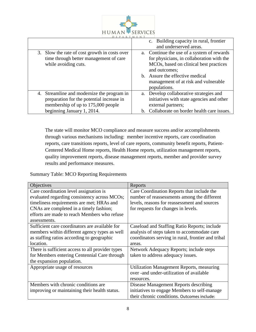

|                                                                                                                                                             | c. Building capacity in rural, frontier<br>and underserved areas.                                                                                                                                                                             |
|-------------------------------------------------------------------------------------------------------------------------------------------------------------|-----------------------------------------------------------------------------------------------------------------------------------------------------------------------------------------------------------------------------------------------|
| 3. Slow the rate of cost growth in costs over<br>time through better management of care<br>while avoiding cuts.                                             | a. Continue the use of a system of rewards<br>for physicians, in collaboration with the<br>MCOs, based on clinical best practices<br>and outcomes;<br>b. Assure the effective medical<br>management of at risk and vulnerable<br>populations. |
| 4. Streamline and modernize the program in<br>preparation for the potential increase in<br>membership of up to 175,000 people<br>beginning January 1, 2014. | a. Develop collaborative strategies and<br>initiatives with state agencies and other<br>external partners;<br>b. Collaborate on border health care issues.                                                                                    |

The state will monitor MCO compliance and measure success and/or accomplishments through various mechanisms including: member incentive reports, care coordination reports, care transitions reports, level of care reports, community benefit reports, Patient-Centered Medical Home reports, Health Home reports, utilization management reports, quality improvement reports, disease management reports, member and provider survey results and performance measures.

Summary Table: MCO Reporting Requirements

| Objectives                                       | Reports                                            |
|--------------------------------------------------|----------------------------------------------------|
| Care coordination level assignation is           | Care Coordination Reports that include the         |
| evaluated regarding consistency across MCOs;     | number of reassessments among the different        |
| timeliness requirements are met; HRAs and        | levels, reasons for reassessment and sources       |
| CNAs are completed in a timely fashion;          | for requests for changes in levels.                |
| efforts are made to reach Members who refuse     |                                                    |
| assessments.                                     |                                                    |
| Sufficient care coordinators are available for   | Caseload and Staffing Ratio Reports; include       |
| members within different agency types as well    | analysis of steps taken to accommodate care        |
| as staffing ratios according to geographic       | coordinators serving in rural, frontier and tribal |
| location.                                        | areas.                                             |
| There is sufficient access to all provider types | Network Adequacy Reports; include steps            |
| for Members entering Centennial Care through     | taken to address adequacy issues.                  |
| the expansion population.                        |                                                    |
| Appropriate usage of resources                   | Utilization Management Reports, measuring          |
|                                                  | over - and under-utilization of available          |
|                                                  | resources.                                         |
| Members with chronic conditions are              | Disease Management Reports describing              |
| improving or maintaining their health status.    | initiatives to engage Members to self-manage       |
|                                                  | their chronic conditions. Outcomes include:        |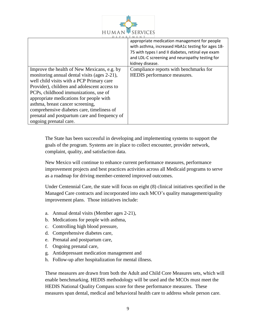

|                                               | appropriate medication management for people      |
|-----------------------------------------------|---------------------------------------------------|
|                                               | with asthma, increased HbA1c testing for ages 18- |
|                                               | 75 with types I and II diabetes, retinal eye exam |
|                                               | and LDL-C screening and neuropathy testing for    |
|                                               | kidney disease.                                   |
| Improve the health of New Mexicans, e.g. by   | Compliance reports with benchmarks for            |
| monitoring annual dental visits (ages 2-21),  | HEDIS performance measures.                       |
| well child visits with a PCP Primary care     |                                                   |
| Provider), children and adolescent access to  |                                                   |
| PCPs, childhood immunizations, use of         |                                                   |
| appropriate medications for people with       |                                                   |
| asthma, breast cancer screening,              |                                                   |
| comprehensive diabetes care, timeliness of    |                                                   |
| prenatal and postpartum care and frequency of |                                                   |
| ongoing prenatal care.                        |                                                   |

The State has been successful in developing and implementing systems to support the goals of the program. Systems are in place to collect encounter, provider network, complaint, quality, and satisfaction data.

New Mexico will continue to enhance current performance measures, performance improvement projects and best practices activities across all Medicaid programs to serve as a roadmap for driving member-centered improved outcomes.

Under Centennial Care, the state will focus on eight (8) clinical initiatives specified in the Managed Care contracts and incorporated into each MCO's quality management/quality improvement plans. Those initiatives include:

- a. Annual dental visits (Member ages 2-21),
- b. Medications for people with asthma,
- c. Controlling high blood pressure,
- d. Comprehensive diabetes care,
- e. Prenatal and postpartum care,
- f. Ongoing prenatal care,
- g. Antidepressant medication management and
- h. Follow-up after hospitalization for mental illness.

These measures are drawn from both the Adult and Child Core Measures sets, which will enable benchmarking. HEDIS methodology will be used and the MCOs must meet the HEDIS National Quality Compass score for these performance measures. These measures span dental, medical and behavioral health care to address whole person care.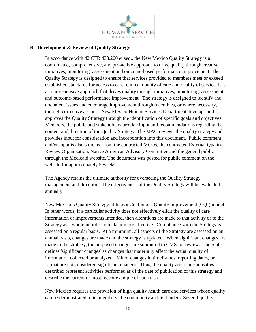

## **B. Development & Review of Quality Strategy**

In accordance with 42 CFR 438.200 et seq., the New Mexico Quality Strategy is a coordinated, comprehensive, and pro-active approach to drive quality through creative initiatives, monitoring, assessment and outcome-based performance improvement. The Quality Strategy is designed to ensure that services provided to members meet or exceed established standards for access to care, clinical quality of care and quality of service. It is a comprehensive approach that drives quality through initiatives, monitoring, assessment and outcome-based performance improvement. The strategy is designed to identify and document issues and encourage improvement through incentives, or where necessary, through corrective actions. New Mexico Human Services Department develops and approves the Quality Strategy through the identification of specific goals and objectives. Members, the public and stakeholders provide input and recommendations regarding the content and direction of the Quality Strategy. The MAC reviews the quality strategy and provides input for consideration and incorporation into this document. Public comment and/or input is also solicited from the contracted MCOs, the contracted External Quality Review Organization, Native American Advisory Committee and the general public through the Medicaid website. The document was posted for public comment on the website for approximately 5 weeks.

The Agency retains the ultimate authority for overseeing the Quality Strategy management and direction. The effectiveness of the Quality Strategy will be evaluated annually.

New Mexico's Quality Strategy utilizes a Continuous Quality Improvement (CQI) model. In other words, if a particular activity does not effectively elicit the quality of care information or improvements intended, then alterations are made to that activity or to the Strategy as a whole in order to make it more effective. Compliance with the Strategy is assessed on a regular basis. At a minimum, all aspects of the Strategy are assessed on an annual basis, changes are made and the strategy is updated. When significant changes are made to the strategy, the proposed changes are submitted to CMS for review. The State defines 'significant changes' as changes that materially affect the actual quality of information collected or analyzed. Minor changes in timeframes, reporting dates, or format are not considered significant changes. Thus, the quality assurance activities described represent activities performed as of the date of publication of this strategy and describe the current or most recent example of each task.

New Mexico requires the provision of high quality health care and services whose quality can be demonstrated to its members, the community and its funders. Several quality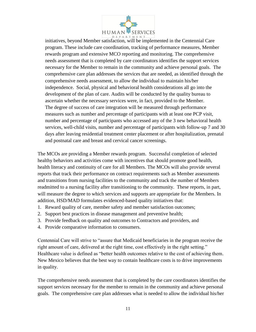

initiatives, beyond Member satisfaction, will be implemented in the Centennial Care program. These include care coordination, tracking of performance measures, Member rewards program and extensive MCO reporting and monitoring. The comprehensive needs assessment that is completed by care coordinators identifies the support services necessary for the Member to remain in the community and achieve personal goals. The comprehensive care plan addresses the services that are needed, as identified through the comprehensive needs assessment, to allow the individual to maintain his/her independence. Social, physical and behavioral health considerations all go into the development of the plan of care. Audits will be conducted by the quality bureau to ascertain whether the necessary services were, in fact, provided to the Member. The degree of success of care integration will be measured through performance measures such as number and percentage of participants with at least one PCP visit, number and percentage of participants who accessed any of the 3 new behavioral health services, well-child visits, number and percentage of participants with follow-up 7 and 30 days after leaving residential treatment center placement or after hospitalization, prenatal and postnatal care and breast and cervical cancer screenings.

The MCOs are providing a Member rewards program. Successful completion of selected healthy behaviors and activities come with incentives that should promote good health, health literacy and continuity of care for all Members. The MCOs will also provide several reports that track their performance on contract requirements such as Member assessments and transitions from nursing facilities to the community and track the number of Members readmitted to a nursing facility after transitioning to the community. These reports, in part, will measure the degree to which services and supports are appropriate for the Members. In addition, HSD/MAD formulates evidenced-based quality initiatives that:

- 1. Reward quality of care, member safety and member satisfaction outcomes;
- 2. Support best practices in disease management and preventive health;
- 3. Provide feedback on quality and outcomes to Contractors and providers, and
- 4. Provide comparative information to consumers.

Centennial Care will strive to "assure that Medicaid beneficiaries in the program receive the right amount of care, delivered at the right time, cost effectively in the right setting." Healthcare value is defined as "better health outcomes relative to the cost of achieving them. New Mexico believes that the best way to contain healthcare costs is to drive improvements in quality.

The comprehensive needs assessment that is completed by the care coordinators identifies the support services necessary for the member to remain in the community and achieve personal goals. The comprehensive care plan addresses what is needed to allow the individual his/her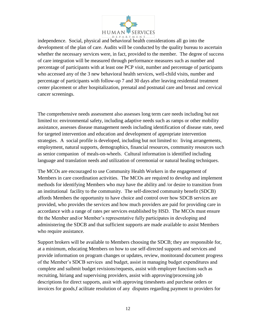

independence. Social, physical and behavioral health considerations all go into the development of the plan of care. Audits will be conducted by the quality bureau to ascertain whether the necessary services were, in fact, provided to the member. The degree of success of care integration will be measured through performance measures such as number and percentage of participants with at least one PCP visit, number and percentage of participants who accessed any of the 3 new behavioral health services, well-child visits, number and percentage of participants with follow-up 7 and 30 days after leaving residential treatment center placement or after hospitalization, prenatal and postnatal care and breast and cervical cancer screenings.

The comprehensive needs assessment also assesses long term care needs including but not limited to: environmental safety, including adaptive needs such as ramps or other mobility assistance, assesses disease management needs including identification of disease state, need for targeted intervention and education and development of appropriate intervention strategies. A social profile is developed, including but not limited to: living arrangements, employment, natural supports, demographics, financial resources, community resources such as senior companion of meals-on-wheels. Cultural information is identified including language and translation needs and utilization of ceremonial or natural healing techniques.

The MCOs are encouraged to use Community Health Workers in the engagement of Members in care coordination activities. The MCOs are required to develop and implement methods for identifying Members who may have the ability and /or desire to transition from an institutional facility to the community. The self-directed community benefit (SDCB) affords Members the opportunity to have choice and control over how SDCB services are provided, who provides the services and how much providers are paid for providing care in accordance with a range of rates per services established by HSD. The MCOs must ensure tht the Member and/or Member's representative fully participates in developing and administering the SDCB and that sufficient supports are made available to assist Members who require assistance.

Support brokers will be available to Members choosing the SDCB; they are responsible for, at a minimum, educating Members on how to use self-directed supports and services and provide information on program changes or updates, review, monitorand document progress of the Member's SDCB services and budget, assist in managing budget expenditures and complete and suibmit budget revisions/requests, assist with employer functions such as recruiting, hiriang and supervising providers, assist with approving/processing job descriptions for direct supports, assit with approving timesheets and purchese orders or invoices for goods,f acilitate resolution of any disputes regarding payment to providers for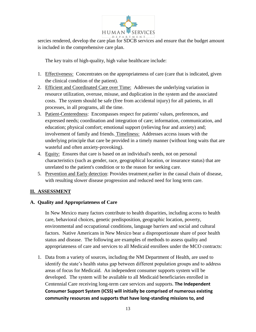

sercies rendered, develop the care plan for SDCB services and ensure that the budget amount is included in the comprehensive care plan.

The key traits of high-quality, high value healthcare include:

- 1. Effectiveness: Concentrates on the appropriateness of care (care that is indicated, given the clinical condition of the patient).
- 2. Efficient and Coordinated Care over Time: Addresses the underlying variation in resource utilization, overuse, misuse, and duplication in the system and the associated costs. The system should be safe (free from accidental injury) for all patients, in all processes, in all programs, all the time.
- 3. Patient-Centeredness: Encompasses respect for patients' values, preferences, and expressed needs; coordination and integration of care; information, communication, and education; physical comfort; emotional support (relieving fear and anxiety) and; involvement of family and friends. Timeliness: Addresses access issues with the underlying principle that care be provided in a timely manner (without long waits that are wasteful and often anxiety-provoking).
- 4. Equity: Ensures that care is based on an individual's needs, not on personal characteristics (such as gender, race, geographical location, or insurance status) that are unrelated to the patient's condition or to the reason for seeking care.
- 5. Prevention and Early detection: Provides treatment earlier in the causal chain of disease, with resulting slower disease progression and reduced need for long term care.

# **II. ASSESSMENT**

## **A. Quality and Appropriateness of Care**

In New Mexico many factors contribute to health disparities, including access to health care, behavioral choices, genetic predisposition, geographic location, poverty, environmental and occupational conditions, language barriers and social and cultural factors. Native Americans in New Mexico bear a disproportionate share of poor health status and disease. The following are examples of methods to assess quality and appropriateness of care and services to all Medicaid enrollees under the MCO contracts:

1. Data from a variety of sources, including the NM Department of Health, are used to identify the state's health status gap between different population groups and to address areas of focus for Medicaid. An independent consumer supports system will be developed. The system will be available to all Medicaid beneficiaries enrolled in Centennial Care receiving long-term care services and supports. **The Independent Consumer Support System (ICSS) will initially be comprised of numerous existing community resources and supports that have long-standing missions to, and**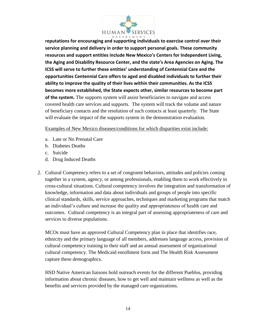

**reputations for encouraging and supporting individuals to exercise control over their service planning and delivery in order to support personal goals. These community resources and support entities include New Mexico's Centers for Independent Living, the Aging and Disability Resource Center, and the state's Area Agencies on Aging. The ICSS will serve to further these entities' understanding of Centennial Care and the opportunities Centennial Care offers to aged and disabled individuals to further their ability to improve the quality of their lives within their communities. As the ICSS becomes more established, the State expects other, similar resources to become part of the system.** The supports system will assist beneficiaries to navigate and access covered health care services and supports. The system will track the volume and nature of beneficiary contacts and the resolution of such contacts at least quarterly. The State will evaluate the impact of the supports system in the demonstration evaluation.

Examples of New Mexico diseases/conditions for which disparities exist include:

- a. Late or No Prenatal Care
- b. Diabetes Deaths
- c. Suicide
- d. Drug Induced Deaths
- 2. Cultural Competency refers to a set of congruent behaviors, attitudes and policies coming together in a system, agency, or among professionals, enabling them to work effectively in cross-cultural situations. Cultural competency involves the integration and transformation of knowledge, information and data about individuals and groups of people into specific clinical standards, skills, service approaches, techniques and marketing programs that match an individual's culture and increase the quality and appropriateness of health care and outcomes. Cultural competency is an integral part of assessing appropriateness of care and services to diverse populations.

MCOs must have an approved Cultural Competency plan in place that identifies race, ethnicity and the primary language of all members, addresses language access, provision of cultural competency training to their staff and an annual assessment of organizational cultural competency. The Medicaid enrollment form and The Health Risk Assessment capture these demographics.

HSD Native American liaisons hold outreach events for the different Pueblos, providing information about chronic diseases, how to get well and maintain wellness as well as the benefits and services provided by the managed care organizations.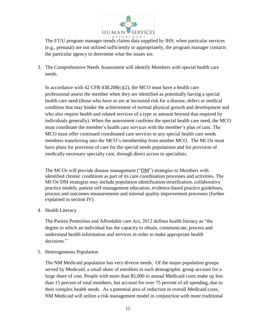

The I/T/U program manager trends claims data supplied by IHS; when particular services (e.g., prenatal) are not utilized sufficiently or appropriately, the program manager contacts the particular agency to determine what the issues are.

3. The Comprehensive Needs Assessment will identify Members with special health care needs.

In accordance with  $42 \text{ CFR } 438.208(c)(2)$ , the MCO must have a health care professional assess the member when they are identified as potentially having a special health care need (those who have or are at increased risk for a disease, defect or medical condition that may hinder the achievement of normal physical growth and development and who also require health and related services of a type or amount beyond that required by individuals generally). When the assessment confirms the special health care need, the MCO must coordinate the member's health care services with the member's plan of care. The MCO must offer continued coordinated care services to any special health care needs members transferring into the MCO's membership from another MCO. The MCOs must have plans for provision of care for the special needs populations and for provision of medically necessary specialty care, through direct access to specialists.

The MCOs will provide disease management ("DM") strategies to Members with identified chronic conditions as part of its care coordination processes and activities. The MCOs'DM strategies may include population identification/stratification, collaborative practice models, patient self-management education, evidence-based practice guidelines, process and outcomes measurements and internal quality improvement processes (further explained in section IV).

4. Health Literacy

The Patient Protection and Affordable care Act, 2012 defines health literacy as "the degree to which an individual has the capacity to obtain, communicate, process and understand health information and services in order to make appropriate health decisions."

5. Heterogeneous Population

The NM Medicaid population has very diverse needs. Of the major population groups served by Medicaid, a small share of enrollees in each demographic group account for a large share of cost. People with more than \$5,000 in annual Medicaid costs make up less than 15 percent of total members, but account for over 75 percent of all spending, due to their complex health needs. As a potential area of reduction in overall Medicaid costs, NM Medicaid will utilize a risk management model in conjunction with more traditional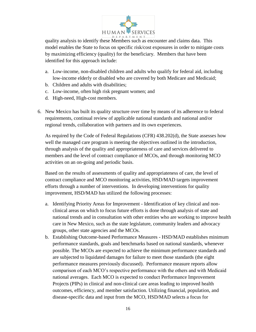

quality analysis to identify these Members such as encounter and claims data. This model enables the State to focus on specific risk/cost exposures in order to mitigate costs by maximizing efficiency (quality) for the beneficiary. Members that have been identified for this approach include:

- a. Low-income, non-disabled children and adults who qualify for federal aid, including low-income elderly or disabled who are covered by both Medicare and Medicaid;
- b. Children and adults with disabilities;
- c. Low-income, often high risk pregnant women; and
- d. High-need, High-cost members.
- 6. New Mexico has built its quality structure over time by means of its adherence to federal requirements, continual review of applicable national standards and national and/or regional trends, collaboration with partners and its own experiences.

As required by the Code of Federal Regulations (CFR) 438.202(d), the State assesses how well the managed care program is meeting the objectives outlined in the introduction, through analysis of the quality and appropriateness of care and services delivered to members and the level of contract compliance of MCOs, and through monitoring MCO activities on an on-going and periodic basis.

Based on the results of assessments of quality and appropriateness of care, the level of contract compliance and MCO monitoring activities, HSD/MAD targets improvement efforts through a number of interventions. In developing interventions for quality improvement, HSD/MAD has utilized the following processes:

- a. Identifying Priority Areas for Improvement Identification of key clinical and nonclinical areas on which to focus future efforts is done through analysis of state and national trends and in consultation with other entities who are working to improve health care in New Mexico, such as the state legislature, community leaders and advocacy groups, other state agencies and the MCOs.
- b. Establishing Outcome-based Performance Measures HSD/MAD establishes minimum performance standards, goals and benchmarks based on national standards, whenever possible. The MCOs are expected to achieve the minimum performance standards and are subjected to liquidated damages for failure to meet those standards (the eight performance measures previously discussed). Performance measure reports allow comparison of each MCO's respective performance with the others and with Medicaid national averages. Each MCO is expected to conduct Performance Improvement Projects (PIPs) in clinical and non-clinical care areas leading to improved health outcomes, efficiency, and member satisfaction. Utilizing financial, population, and disease-specific data and input from the MCO, HSD/MAD selects a focus for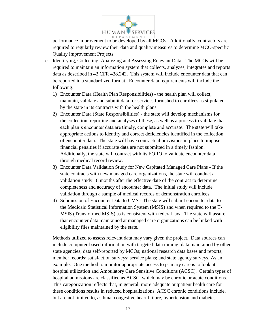

performance improvement to be developed by all MCOs. Additionally, contractors are required to regularly review their data and quality measures to determine MCO-specific Quality Improvement Projects.

- c. Identifying, Collecting, Analyzing and Assessing Relevant Data The MCOs will be required to maintain an information system that collects, analyzes, integrates and reports data as described in 42 CFR 438.242. This system will include encounter data that can be reported in a standardized format. Encounter data requirements will include the following:
	- 1) Encounter Data (Health Plan Responsibilities) the health plan will collect, maintain, validate and submit data for services furnished to enrollees as stipulated by the state in its contracts with the health plans.
	- 2) Encounter Data (State Responsibilities) the state will develop mechanisms for the collection, reporting and analyses of these, as well as a process to validate that each plan's encounter data are timely, complete and accurate. The state will take appropriate actions to identify and correct deficiencies identified in the collection of encounter data. The state will have contractual provisions in place to impose financial penalties if accurate data are not submitted in a timely fashion. Additionally, the state will contract with its EQRO to validate encounter data through medical record review.
	- 3) Encounter Data Validation Study for New Capitated Managed Care Plans If the state contracts with new managed care organizations, the state will conduct a validation study 18 months after the effective date of the contract to determine completeness and accuracy of encounter data. The initial study will include validation through a sample of medical records of demonstration enrollees.
	- 4) Submission of Encounter Data to CMS The state will submit encounter data to the Medicaid Statistical Information System (MSIS) and when required to the T-MSIS (Transformed MSIS) as is consistent with federal law. The state will assure that encounter data maintained at managed care organizations can be linked with eligibility files maintained by the state.

Methods utilized to assess relevant data may vary given the project. Data sources can include computer-based information with targeted data mining; data maintained by other state agencies; data self-reported by MCOs; national research data bases and reports; member records; satisfaction surveys; service plans; and state agency surveys. As an example: One method to monitor appropriate access to primary care is to look at hospital utilization and Ambulatory Care Sensitive Conditions (ACSC). Certain types of hospital admissions are classified as ACSC, which may be chronic or acute conditions. This categorization reflects that, in general, more adequate outpatient health care for these conditions results in reduced hospitalizations. ACSC chronic conditions include, but are not limited to, asthma, congestive heart failure, hypertension and diabetes.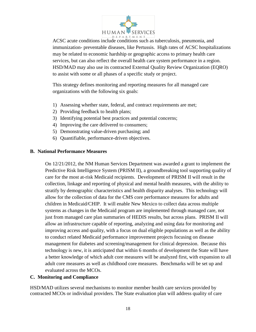

ACSC acute conditions include conditions such as tuberculosis, pneumonia, and immunization- preventable diseases, like Pertussis. High rates of ACSC hospitalizations may be related to economic hardship or geographic access to primary health care services, but can also reflect the overall health care system performance in a region. HSD/MAD may also use its contracted External Quality Review Organization (EQRO) to assist with some or all phases of a specific study or project.

This strategy defines monitoring and reporting measures for all managed care organizations with the following six goals:

- 1) Assessing whether state, federal, and contract requirements are met;
- 2) Providing feedback to health plans;
- 3) Identifying potential best practices and potential concerns;
- 4) Improving the care delivered to consumers;
- 5) Demonstrating value-driven purchasing; and
- 6) Quantifiable, performance-driven objectives.

#### **B. National Performance Measures**

On 12/21/2012, the NM Human Services Department was awarded a grant to implement the Predictive Risk Intelligence System (PRISM II), a groundbreaking tool supporting quality of care for the most at-risk Medicaid recipients. Development of PRISM II will result in the collection, linkage and reporting of physical and mental health measures, with the ability to stratify by demographic characteristics and health disparity analyses. This technology will allow for the collection of data for the CMS core performance measures for adults and children in Medicaid/CHIP. It will enable New Mexico to collect data across multiple systems as changes in the Medicaid program are implemented through managed care, not just from managed care plan summaries of HEDIS results, but across plans. PRISM II will allow an infrastructure capable of reporting, analyzing and using data for monitoring and improving access and quality, with a focus on dual eligible populations as well as the ability to conduct related Medicaid performance improvement projects focusing on disease management for diabetes and screening/management for clinical depression. Because this technology is new, it is anticipated that within 6 months of development the State will have a better knowledge of which adult core measures will be analyzed first, with expansion to all adult core measures as well as childhood core measures. Benchmarks will be set up and evaluated across the MCOs.

#### **C. Monitoring and Compliance**

HSD/MAD utilizes several mechanisms to monitor member health care services provided by contracted MCOs or individual providers. The State evaluation plan will address quality of care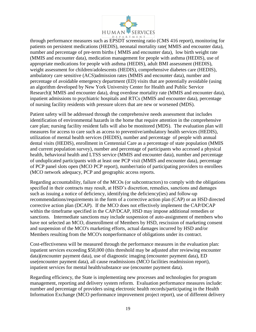

through performance measures such as EPSDT screening ratio (CMS 416 report), monitoring for patients on persistent medications (HEDIS), neonatal mortality rate( MMIS and encounter data), number and percentage of pre-term births ( MMIS and encounter data), low birth weight rate (MMIS and encounter data), medication management for people with asthma (HEDIS), use of appropriate medications for people with asthma (HEDIS), adult BMI assessment (HEDIS), weight assessment for children/adolescents (HEDIS), comprehensive diabetes care (HEDIS), ambulatory care sensitive (ACS)admission rates (MMIS and encounter data), number and percentage of avoidable emergency department (ED) visits that are potentially avoidable (using an algorithm developed by New York University Center for Health and Public Service Research)( MMIS and encounter data), drug overdose mortality rate (MMIS and encounter data), inpatient admissions to psychiatric hospitals and RTCs (MMIS and encounter data), percentage of nursing facility residents with pressure ulcers that are new or worsened (MDS).

Patient safety will be addressed through the comprehensive needs assessment that includes identification of environmental hazards in the home that require attention in the comprehensive care plan; nursing facility resident falls will also be monitored (MDS). The evaluation plan will measures for access to care such as access to preventive/ambulatory health services (HEDIS), utilization of mental health services (HEDIS), number and percentage of people with annual dental visits (HEDIS), enrollment in Centennial Care as a percentage of state population (MMIS and current population survey), number and percentage of participants who accessed a physical health, behavioral health and LTSS service (MMIS and encounter data), number and percentage of unduplicated participants with at least one PCP visit (MMIS and encounter data), percentage of PCP panel slots open (MCO PCP report), number/ratio of participating providers to enrollees (MCO network adequacy, PCP and geographic access reports.

Regarding accountability, failure of the MCOs (or subcontractors) to comply with the obligations specified in their contracts may result, at HSD's discretion, remedies, sanctions and damages such as issuing a notice of deficiency, identifying the deficiency(ies) and follow-up recommendations/requirements in the form of a corrective action plan (CAP) or an HSD directed corrective action plan (DCAP). If the MCO does not effectively implement the CAP/DCAP within the timeframe specified in the CAP/DCAP, HSD may impose additional remedies or sanctions. Intermediate sanctions may include suspension of auto-assignment of members who have not selected an MCO, disenrollment of Members by HSD, rescission of marketing consent and suspension of the MCO's marketing efforts, actual damages incurred by HSD and/or Members resulting from the MCO's nonperformance of obligations under its contract.

Cost-effectiveness will be measured through the performance measures in the evaluation plan: inpatient services exceeding \$50,000 (this threshold may be adjusted after reviewing encounter data)(encounter payment data), use of diagnostic imaging (encounter payment data), ED use(encounter payment data), all cause readmissions (MCO facilities readmission report), inpatient services for mental health/substance use (encounter payment data).

Regarding efficiency, the State is implementing new processes and technologies for program management, reporting and delivery system reform. Evaluation performance measures include: number and percentage of providers using electronic health records/participating in the Health Information Exchange (MCO performance improvement project report), use of different delivery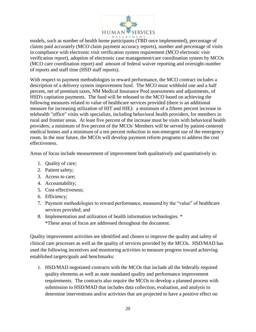

models, such as number of health home participants (TBD once implemented), percentage of claims paid accurately (MCO claim payment accuracy reports), number and percentage of visits in compliance with electronic visit verification system requirement (MCO electronic visit verification report), adoption of electronic case management/care coordination system by MCOs (MCO care coordination report) and amount of federal waiver reporting and oversight-number of reports and staff time (HSD staff reports).

With respect to payment methodologies to reward performance, the MCO contract includes a description of a delivery system improvement fund. The MCO must withhold one and a half percent, net of premium taxes, NM Medical Insurance Pool assessments and adjustments, of HSD's capitation payments. The fund will be released to the MCO based on achieving the following measures related to value of healthcare services provided (there is an additional measure for increasing utilization of HIT and HIE): a minimum of a fifteen percent increase in telehealth "office" visits with specialists, including behavioral health providers, for members in rural and frontier areas. At least five percent of the increase must be visits with behavioral health providers; a minimum of five percent of the MCOs' Members will be served by patient-centered medical homes and a minimum of a ten percent reduction in non-emergent use of the emergency room. In the near future, the MCOs will develop payment reform programs to address the cost effectiveness.

Areas of focus include measurement of improvement both qualitatively and quantitatively in:

- 1. Quality of care;
- 2. Patient safety;
- 3. Access to care;
- 4. Accountability;
- 5. Cost-effectiveness;
- 6. Efficiency;
- 7. Payment methodologies to reward performance, measured by the "value" of healthcare services provided; and
- 8. Implementation and utilization of health information technologies. \* \*These areas of focus are addressed throughout the document.

Quality improvement activities are identified and chosen to improve the quality and safety of clinical care processes as well as the quality of services provided by the MCOs. HSD/MAD has used the following incentives and monitoring activities to measure progress toward achieving established targets/goals and benchmarks:

1. HSD/MAD negotiated contracts with the MCOs that include all the federally required quality elements as well as state mandated quality and performance improvement requirements. The contracts also require the MCOs to develop a planned process with submission to HSD/MAD that includes data collection, evaluation, and analysis to determine interventions and/or activities that are projected to have a positive effect on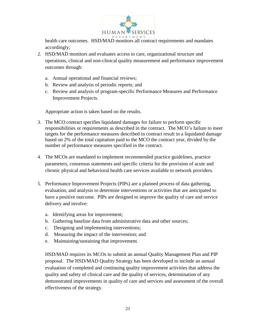

health care outcomes. HSD/MAD monitors all contract requirements and mandates accordingly;

- 2. HSD/MAD monitors and evaluates access to care, organizational structure and operations, clinical and non-clinical quality measurement and performance improvement outcomes through:
	- a. Annual operational and financial reviews;
	- b. Review and analysis of periodic reports; and
	- c. Review and analysis of program-specific Performance Measures and Performance Improvement Projects.

Appropriate action is taken based on the results.

- 3. The MCO contract specifies liquidated damages for failure to perform specific responsibilities or requirements as described in the contract. The MCO's failure to meet targets for the performance measures described in contract result in a liquidated damage based on 2% of the total capitation paid to the MCO the contract year, divided by the number of performance measures specified in the contract.
- 4. The MCOs are mandated to implement recommended practice guidelines, practice parameters, consensus statements and specific criteria for the provision of acute and chronic physical and behavioral health care services available to network providers.
- 5. Performance Improvement Projects (PIPs) are a planned process of data gathering, evaluation, and analysis to determine interventions or activities that are anticipated to have a positive outcome. PIPs are designed to improve the quality of care and service delivery and involve:
	- a. Identifying areas for improvement;
	- b. Gathering baseline data from administrative data and other sources;
	- c. Designing and implementing interventions;
	- d. Measuring the impact of the intervention; and
	- e. Maintaining/sustaining that improvement.

HSD/MAD requires its MCOs to submit an annual Quality Management Plan and PIP proposal. The HSD/MAD Quality Strategy has been developed to include an annual evaluation of completed and continuing quality improvement activities that address the quality and safety of clinical care and the quality of services, determination of any demonstrated improvements in quality of care and services and assessment of the overall effectiveness of the strategy.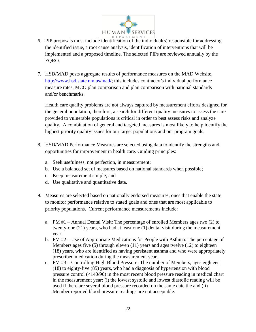

- 6. PIP proposals must include identification of the individual(s) responsible for addressing the identified issue, a root cause analysis, identification of interventions that will be implemented and a proposed timeline. The selected PIPs are reviewed annually by the EQRO.
- 7. HSD/MAD posts aggregate results of performance measures on the MAD Website, [http://www.hsd.state.nm.us/mad/;](http://www.hsd.state.nm.us/mad/) this includes contractor's individual performance measure rates, MCO plan comparison and plan comparison with national standards and/or benchmarks.

Health care quality problems are not always captured by measurement efforts designed for the general population, therefore, a search for different quality measures to assess the care provided to vulnerable populations is critical in order to best assess risks and analyze quality. A combination of general and targeted measures is most likely to help identify the highest priority quality issues for our target populations and our program goals.

- 8. HSD/MAD Performance Measures are selected using data to identify the strengths and opportunities for improvement in health care. Guiding principles:
	- a. Seek usefulness, not perfection, in measurement;
	- b. Use a balanced set of measures based on national standards when possible;
	- c. Keep measurement simple; and
	- d. Use qualitative and quantitative data.
- 9. Measures are selected based on nationally endorsed measures, ones that enable the state to monitor performance relative to stated goals and ones that are most applicable to priority populations. Current performance measurements include:
	- a. PM #1 Annual Dental Visit: The percentage of enrolled Members ages two (2) to twenty-one (21) years, who had at least one (1) dental visit during the measurement year.
	- b. PM #2 Use of Appropriate Medications for People with Asthma: The percentage of Members ages five (5) through eleven (11) years and ages twelve (12) to eighteen (18) years, who are identified as having persistent asthma and who were appropriately prescribed medication during the measurement year.
	- c. PM #3 Controlling High Blood Pressure: The number of Members, ages eighteen (18) to eighty-five (85) years, who had a diagnosis of hypertension with blood pressure control (<140/90) in the most recent blood pressure reading in medical chart in the measurement year: (i) the lowest systolic and lowest diastolic reading will be used if there are several blood pressure recorded on the same date the and (ii) Member reported blood pressure readings are not acceptable.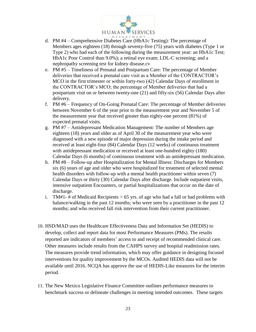

- d. PM #4 Comprehensive Diabetes Care (HbA1c Testing): The percentage of Members ages eighteen (18) through seventy-five (75) years with diabetes (Type 1 or Type 2) who had each of the following during the measurement year: an HbA1c Test; HbA1c Poor Control than 9.0%); a retinal eye exam; LDL-C screening; and a nephropathy screening test for kidney disease.cv
- e. PM #5 Timeliness of Prenatal and Postpartum Care: The percentage of Member deliveries that received a prenatal care visit as a Member of the CONTRACTOR's MCO in the first trimester or within forty-two (42) Calendar Days of enrollment in the CONTRACTOR's MCO; the percentage of Member deliveries that had a postpartum visit on or between twenty-one (21) and fifty-six (56) Calendar Days after delivery.
- f. PM #6 Frequency of On-Going Prenatal Care: The percentage of Member deliveries between November 6 of the year prior to the measurement year and November 5 of the measurement year that received greater than eighty-one percent (81%) of expected prenatal visits.
- g. PM #7 Antidepressant Medication Management: The number of Members age eighteen (18) years and older as of April 30 of the measurement year who were diagnosed with a new episode of major depression during the intake period and received at least eight-four (84) Calendar Days (12 weeks) of continuous treatment with antidepressant medication or received at least one-hundred eighty (180) Calendar Days (6 months) of continuous treatment with an antidepressant medication.
- h. PM #8 Follow-up after Hospitalization for Mental Illness: Discharges for Members six (6) years of age and older who were hospitalized for treatment of selected mental health disorders with follow-up with a mental health practitioner within seven (7) Calendar Days or thirty (30) Calendar Days after discharge. Include outpatient visits, intensive outpatient Encounters, or partial hospitalizations that occur on the date of discharge.
- i. TM#1- # of Medicaid Recipients  $> 65$  yrs. of age who had a fall or had problems with balance/walking in the past 12 months; who were seen by a practitioner in the past 12 months; and who received fall risk intervention from their current practitioner.
- 10. HSD/MAD uses the Healthcare Effectiveness Data and Information Set (HEDIS) to develop, collect and report data for most Performance Measures (PMs). The results reported are indicators of members' access to and receipt of recommended clinical care. Other measures include results from the CAHPS survey and hospital readmission rates. The measures provide trend information, which may offer guidance in designing focused interventions for quality improvement by the MCOs. Audited HEDIS data will not be available until 2016. NCQA has approve the use of HEDIS-Like measures for the interim period.
- 11. The New Mexico Legislative Finance Committee outlines performance measures to benchmark success or delineate challenges in meeting intended outcomes. These targets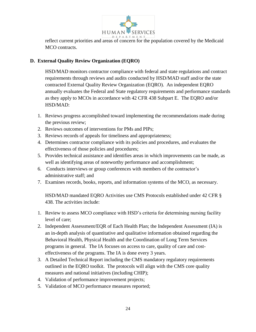

reflect current priorities and areas of concern for the population covered by the Medicaid MCO contracts.

# **D. External Quality Review Organization (EQRO)**

HSD/MAD monitors contractor compliance with federal and state regulations and contract requirements through reviews and audits conducted by HSD/MAD staff and/or the state contracted External Quality Review Organization (EQRO). An independent EQRO annually evaluates the Federal and State regulatory requirements and performance standards as they apply to MCOs in accordance with 42 CFR 438 Subpart E. The EQRO and/or HSD/MAD:

- 1. Reviews progress accomplished toward implementing the recommendations made during the previous review;
- 2. Reviews outcomes of interventions for PMs and PIPs;
- 3. Reviews records of appeals for timeliness and appropriateness;
- 4. Determines contractor compliance with its policies and procedures, and evaluates the effectiveness of those policies and procedures;
- 5. Provides technical assistance and identifies areas in which improvements can be made, as well as identifying areas of noteworthy performance and accomplishment;
- 6. Conducts interviews or group conferences with members of the contractor's administrative staff; and
- 7. Examines records, books, reports, and information systems of the MCO, as necessary.

HSD/MAD mandated EQRO Activities use CMS Protocols established under 42 CFR § 438. The activities include:

- 1. Review to assess MCO compliance with HSD's criteria for determining nursing facility level of care;
- 2. Independent Assessment/EQR of Each Health Plan; the Independent Assessment (IA) is an in-depth analysis of quantitative and qualitative information obtained regarding the Behavioral Health, Physical Health and the Coordination of Long Term Services programs in general. The IA focuses on access to care, quality of care and costeffectiveness of the programs. The IA is done every 3 years.
- 3. A Detailed Technical Report including the CMS mandatory regulatory requirements outlined in the EQRO toolkit. The protocols will align with the CMS core quality measures and national initiatives (including CHIP);
- 4. Validation of performance improvement projects;
- 5. Validation of MCO performance measures reported;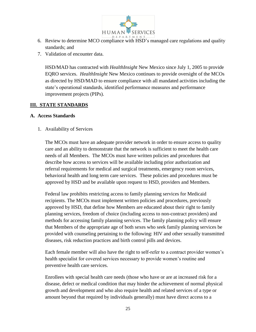

- 6. Review to determine MCO compliance with HSD's managed care regulations and quality standards; and
- 7. Validation of encounter data.

HSD/MAD has contracted with *HealthInsight* New Mexico since July 1, 2005 to provide EQRO services. *HealthInsight* New Mexico continues to provide oversight of the MCOs as directed by HSD/MAD to ensure compliance with all mandated activities including the state's operational standards, identified performance measures and performance improvement projects (PIPs).

## **III. STATE STANDARDS**

## **A. Access Standards**

1. Availability of Services

The MCOs must have an adequate provider network in order to ensure access to quality care and an ability to demonstrate that the network is sufficient to meet the health care needs of all Members. The MCOs must have written policies and procedures that describe how access to services will be available including prior authorization and referral requirements for medical and surgical treatments, emergency room services, behavioral health and long term care services. These policies and procedures must be approved by HSD and be available upon request to HSD, providers and Members.

Federal law prohibits restricting access to family planning services for Medicaid recipients. The MCOs must implement written policies and procedures, previously approved by HSD, that define how Members are educated about their right to family planning services, freedom of choice (including access to non-contract providers) and methods for accessing family planning services. The family planning policy will ensure that Members of the appropriate age of both sexes who seek family planning services be provided with counseling pertaining to the following: HIV and other sexually transmitted diseases, risk reduction practices and birth control pills and devices.

Each female member will also have the right to self-refer to a contract provider women's health specialist for covered services necessary to provide women's routine and preventive health care services.

Enrollees with special health care needs (those who have or are at increased risk for a disease, defect or medical condition that may hinder the achievement of normal physical growth and development and who also require health and related services of a type or amount beyond that required by individuals generally) must have direct access to a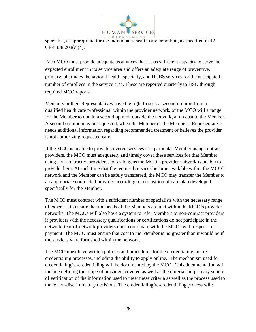

specialist, as appropriate for the individual's health care condition, as specified in 42 CFR 438.208(c)(4).

Each MCO must provide adequate assurances that it has sufficient capacity to serve the expected enrollment in its service area and offers an adequate range of preventive, primary, pharmacy, behavioral health, specialty, and HCBS services for the anticipated number of enrollees in the service area. These are reported quarterly to HSD through required MCO reports.

Members or their Representatives have the right to seek a second opinion from a qualified health care professional within the provider network, or the MCO will arrange for the Member to obtain a second opinion outside the network, at no cost to the Member. A second opinion may be requested, when the Member or the Member's Representative needs additional information regarding recommended treatment or believes the provider is not authorizing requested care.

If the MCO is unable to provide covered services to a particular Member using contract providers, the MCO must adequately and timely cover these services for that Member using non-contracted providers, for as long as the MCO's provider network is unable to provide them. At such time that the required services become available within the MCO's network and the Member can be safely transferred, the MCO may transfer the Member to an appropriate contracted provider according to a transition of care plan developed specifically for the Member.

The MCO must contract with a sufficient number of specialists with the necessary range of expertise to ensure that the needs of the Members are met within the MCO's provider networks. The MCOs will also have a system to refer Members to non-contract providers if providers with the necessary qualifications or certifications do not participate in the network. Out-of-network providers must coordinate with the MCOs with respect to payment. The MCO must ensure that cost to the Member is no greater than it would be if the services were furnished within the network.

The MCO must have written policies and procedures for the credentialing and recredentialing processes, including the ability to apply online. The mechanism used for credentialing/re-credentialing will be documented by the MCO. This documentation will include defining the scope of providers covered as well as the criteria and primary source of verification of the information used to meet these criteria as well as the process used to make non-discriminatory decisions. The credentialing/re-credentialing process will: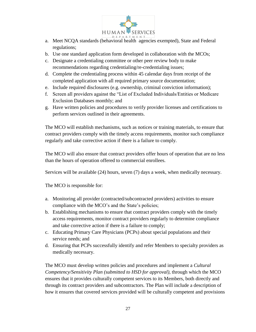

- a. Meet NCQA standards (behavioral health agencies exempted), State and Federal regulations;
- b. Use one standard application form developed in collaboration with the MCOs;
- c. Designate a credentialing committee or other peer review body to make recommendations regarding credentialing/re-credentialing issues;
- d. Complete the credentialing process within 45 calendar days from receipt of the completed application with all required primary source documentation;
- e. Include required disclosures (e.g. ownership, criminal conviction information);
- f. Screen all providers against the "List of Excluded Individuals/Entities or Medicare Exclusion Databases monthly; and
- g. Have written policies and procedures to verify provider licenses and certifications to perform services outlined in their agreements.

The MCO will establish mechanisms, such as notices or training materials, to ensure that contract providers comply with the timely access requirements, monitor such compliance regularly and take corrective action if there is a failure to comply.

The MCO will also ensure that contract providers offer hours of operation that are no less than the hours of operation offered to commercial enrollees.

Services will be available (24) hours, seven (7) days a week, when medically necessary.

The MCO is responsible for:

- a. Monitoring all provider (contracted/subcontracted providers) activities to ensure compliance with the MCO's and the State's policies;
- b. Establishing mechanisms to ensure that contract providers comply with the timely access requirements, monitor contract providers regularly to determine compliance and take corrective action if there is a failure to comply;
- c. Educating Primary Care Physicians (PCPs) about special populations and their service needs; and
- d. Ensuring that PCPs successfully identify and refer Members to specialty providers as medically necessary.

The MCO must develop written policies and procedures and implement a *Cultural Competency/Sensitivity Plan (submitted to HSD for approval)*, through which the MCO ensures that it provides culturally competent services to its Members, both directly and through its contract providers and subcontractors. The Plan will include a description of how it ensures that covered services provided will be culturally competent and provisions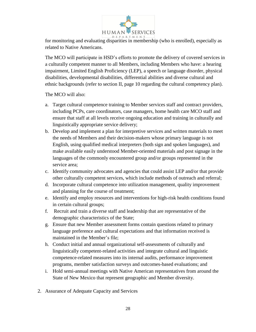

for monitoring and evaluating disparities in membership (who is enrolled), especially as related to Native Americans.

The MCO will participate in HSD's efforts to promote the delivery of covered services in a culturally competent manner to all Members, including Members who have: a hearing impairment, Limited English Proficiency (LEP), a speech or language disorder, physical disabilities, developmental disabilities, differential abilities and diverse cultural and ethnic backgrounds (refer to section II, page 10 regarding the cultural competency plan).

The MCO will also:

- a. Target cultural competence training to Member services staff and contract providers, including PCPs, care coordinators, case managers, home health care MCO staff and ensure that staff at all levels receive ongoing education and training in culturally and linguistically appropriate service delivery;
- b. Develop and implement a plan for interpretive services and written materials to meet the needs of Members and their decision-makers whose primary language is not English, using qualified medical interpreters (both sign and spoken languages), and make available easily understood Member-oriented materials and post signage in the languages of the commonly encountered group and/or groups represented in the service area;
- c. Identify community advocates and agencies that could assist LEP and/or that provide other culturally competent services, which include methods of outreach and referral;
- d. Incorporate cultural competence into utilization management, quality improvement and planning for the course of treatment;
- e. Identify and employ resources and interventions for high-risk health conditions found in certain cultural groups;
- f. Recruit and train a diverse staff and leadership that are representative of the demographic characteristics of the State;
- g. Ensure that new Member assessment forms contain questions related to primary language preference and cultural expectations and that information received is maintained in the Member's file;
- h. Conduct initial and annual organizational self-assessments of culturally and linguistically competent-related activities and integrate cultural and linguistic competence-related measures into its internal audits, performance improvement programs, member satisfaction surveys and outcomes-based evaluations; and
- i. Hold semi-annual meetings with Native American representatives from around the State of New Mexico that represent geographic and Member diversity.
- 2. Assurance of Adequate Capacity and Services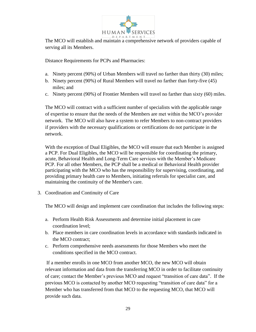

The MCO will establish and maintain a comprehensive network of providers capable of serving all its Members.

Distance Requirements for PCPs and Pharmacies:

- a. Ninety percent (90%) of Urban Members will travel no farther than thirty (30) miles;
- b. Ninety percent (90%) of Rural Members will travel no farther than forty-five (45) miles; and
- c. Ninety percent (90%) of Frontier Members will travel no farther than sixty (60) miles.

The MCO will contract with a sufficient number of specialists with the applicable range of expertise to ensure that the needs of the Members are met within the MCO's provider network. The MCO will also have a system to refer Members to non-contract providers if providers with the necessary qualifications or certifications do not participate in the network.

With the exception of Dual Eligibles, the MCO will ensure that each Member is assigned a PCP. For Dual Eligibles, the MCO will be responsible for coordinating the primary, acute, Behavioral Health and Long-Term Care services with the Member's Medicare PCP. For all other Members, the PCP shall be a medical or Behavioral Health provider participating with the MCO who has the responsibility for supervising, coordinating, and providing primary health care to Members, initiating referrals for specialist care, and maintaining the continuity of the Member's care.

3. Coordination and Continuity of Care

The MCO will design and implement care coordination that includes the following steps:

- a. Perform Health Risk Assessments and determine initial placement in care coordination level;
- b. Place members in care coordination levels in accordance with standards indicated in the MCO contract;
- c. Perform comprehensive needs assessments for those Members who meet the conditions specified in the MCO contract.

If a member enrolls in one MCO from another MCO, the new MCO will obtain relevant information and data from the transferring MCO in order to facilitate continuity of care; contact the Member's previous MCO and request "transition of care data". If the previous MCO is contacted by another MCO requesting "transition of care data" for a Member who has transferred from that MCO to the requesting MCO, that MCO will provide such data.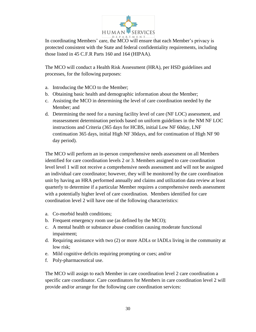

In coordinating Members' care, the MCO will ensure that each Member's privacy is protected consistent with the State and federal confidentiality requirements, including those listed in 45 C.F.R Parts 160 and 164 (HIPAA).

The MCO will conduct a Health Risk Assessment (HRA), per HSD guidelines and processes, for the following purposes:

- a. Introducing the MCO to the Member;
- b. Obtaining basic health and demographic information about the Member;
- c. Assisting the MCO in determining the level of care coordination needed by the Member; and
- d. Determining the need for a nursing facility level of care (NF LOC) assessment, and reassessment determination periods based on uniform guidelines in the NM NF LOC instructions and Criteria (365 days for HCBS, initial Low NF 60day, LNF continuation 365 days, initial High NF 30days, and for continuation of High NF 90 day period).

The MCO will perform an in-person comprehensive needs assessment on all Members identified for care coordination levels 2 or 3. Members assigned to care coordination level level 1 will not receive a comprehensive needs assessment and will not be assigned an individual care coordinator; however, they will be monitored by the care coordination unit by having an HRA performed annually and claims and utilization data review at least quarterly to determine if a particular Member requires a comprehensive needs assessment with a potentially higher level of care coordination. Members identified for care coordination level 2 will have one of the following characteristics:

- a. Co-morbid health conditions;
- b. Frequent emergency room use (as defined by the MCO);
- c. A mental health or substance abuse condition causing moderate functional impairment;
- d. Requiring assistance with two (2) or more ADLs or IADLs living in the community at low risk;
- e. Mild cognitive deficits requiring prompting or cues; and/or
- f. Poly-pharmaceutical use.

The MCO will assign to each Member in care coordination level 2 care coordination a specific care coordinator. Care coordinators for Members in care coordination level 2 will provide and/or arrange for the following care coordination services: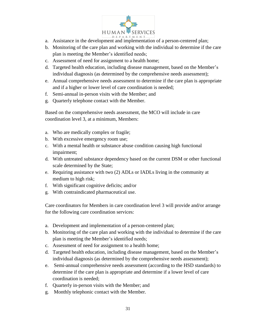

- a. Assistance in the development and implementation of a person-centered plan;
- b. Monitoring of the care plan and working with the individual to determine if the care plan is meeting the Member's identified needs;
- c. Assessment of need for assignment to a health home;
- d. Targeted health education, including disease management, based on the Member's individual diagnosis (as determined by the comprehensive needs assessment);
- e. Annual comprehensive needs assessment to determine if the care plan is appropriate and if a higher or lower level of care coordination is needed;
- f. Semi-annual in-person visits with the Member; and
- g. Quarterly telephone contact with the Member.

Based on the comprehensive needs assessment, the MCO will include in care coordination level 3, at a minimum, Members:

- a. Who are medically complex or fragile;
- b. With excessive emergency room use;
- c. With a mental health or substance abuse condition causing high functional impairment;
- d. With untreated substance dependency based on the current DSM or other functional scale determined by the State;
- e. Requiring assistance with two (2) ADLs or IADLs living in the community at medium to high risk;
- f. With significant cognitive deficits; and/or
- g. With contraindicated pharmaceutical use.

Care coordinators for Members in care coordination level 3 will provide and/or arrange for the following care coordination services:

- a. Development and implementation of a person-centered plan;
- b. Monitoring of the care plan and working with the individual to determine if the care plan is meeting the Member's identified needs;
- c. Assessment of need for assignment to a health home;
- d. Targeted health education, including disease management, based on the Member's individual diagnosis (as determined by the comprehensive needs assessment);
- e. Semi-annual comprehensive needs assessment (according to the HSD standards) to determine if the care plan is appropriate and determine if a lower level of care coordination is needed;
- f. Quarterly in-person visits with the Member; and
- g. Monthly telephonic contact with the Member.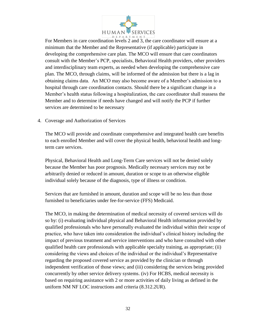

For Members in care coordination levels 2 and 3, the care coordinator will ensure at a minimum that the Member and the Representative (if applicable) participate in developing the comprehensive care plan. The MCO will ensure that care coordinators consult with the Member's PCP, specialists, Behavioral Health providers, other providers and interdisciplinary team experts, as needed when developing the comprehensive care plan. The MCO, through claims, will be informed of the admission but there is a lag in obtaining claims data. An MCO may also become aware of a Member's admission to a hospital through care coordination contacts. Should there be a significant change in a Member's health status following a hospitalization, the care coordinator shall reassess the Member and to determine if needs have changed and will notify the PCP if further services are determined to be necessary

4. Coverage and Authorization of Services

The MCO will provide and coordinate comprehensive and integrated health care benefits to each enrolled Member and will cover the physical health, behavioral health and longterm care services.

Physical, Behavioral Health and Long-Term Care services will not be denied solely because the Member has poor prognosis. Medically necessary services may not be arbitrarily denied or reduced in amount, duration or scope to an otherwise eligible individual solely because of the diagnosis, type of illness or condition.

Services that are furnished in amount, duration and scope will be no less than those furnished to beneficiaries under fee-for-service (FFS) Medicaid.

The MCO, in making the determination of medical necessity of covered services will do so by: (i) evaluating individual physical and Behavioral Health information provided by qualified professionals who have personally evaluated the individual within their scope of practice, who have taken into consideration the individual's clinical history including the impact of previous treatment and service interventions and who have consulted with other qualified health care professionals with applicable specialty training, as appropriate; (ii) considering the views and choices of the individual or the individual's Representative regarding the proposed covered service as provided by the clinician or through independent verification of those views; and (iii) considering the services being provided concurrently by other service delivery systems. (iv) For HCBS, medical necessity is based on requiring assistance with 2 or more activities of daily living as defined in the uniform NM NF LOC instructions and criteria (8.312.2UR).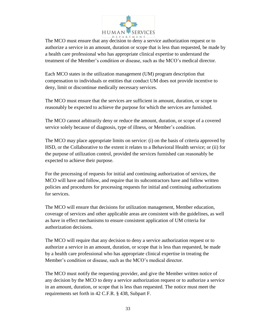

The MCO must ensure that any decision to deny a service authorization request or to authorize a service in an amount, duration or scope that is less than requested, be made by a health care professional who has appropriate clinical expertise to understand the treatment of the Member's condition or disease, such as the MCO's medical director.

Each MCO states in the utilization management (UM) program description that compensation to individuals or entities that conduct UM does not provide incentive to deny, limit or discontinue medically necessary services.

The MCO must ensure that the services are sufficient in amount, duration, or scope to reasonably be expected to achieve the purpose for which the services are furnished.

The MCO cannot arbitrarily deny or reduce the amount, duration, or scope of a covered service solely because of diagnosis, type of illness, or Member's condition.

The MCO may place appropriate limits on service: (i) on the basis of criteria approved by HSD, or the Collaborative to the extent it relates to a Behavioral Health service; or (ii) for the purpose of utilization control, provided the services furnished can reasonably be expected to achieve their purpose.

For the processing of requests for initial and continuing authorization of services, the MCO will have and follow, and require that its subcontractors have and follow written policies and procedures for processing requests for initial and continuing authorizations for services.

The MCO will ensure that decisions for utilization management, Member education, coverage of services and other applicable areas are consistent with the guidelines, as well as have in effect mechanisms to ensure consistent application of UM criteria for authorization decisions.

The MCO will require that any decision to deny a service authorization request or to authorize a service in an amount, duration, or scope that is less than requested, be made by a health care professional who has appropriate clinical expertise in treating the Member's condition or disease, such as the MCO's medical director.

The MCO must notify the requesting provider, and give the Member written notice of any decision by the MCO to deny a service authorization request or to authorize a service in an amount, duration, or scope that is less than requested. The notice must meet the requirements set forth in 42 C.F.R. § 438, Subpart F.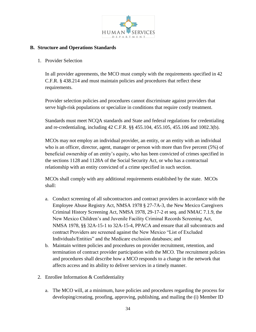

## **B. Structure and Operations Standards**

## 1. Provider Selection

In all provider agreements, the MCO must comply with the requirements specified in 42 C.F.R. § 438.214 and must maintain policies and procedures that reflect these requirements.

Provider selection policies and procedures cannot discriminate against providers that serve high-risk populations or specialize in conditions that require costly treatment.

Standards must meet NCQA standards and State and federal regulations for credentialing and re-credentialing, including 42 C.F.R. §§ 455.104, 455.105, 455.106 and 1002.3(b).

MCOs may not employ an individual provider, an entity, or an entity with an individual who is an officer, director, agent, manager or person with more than five percent (5%) of beneficial ownership of an entity's equity, who has been convicted of crimes specified in the sections 1128 and 1128A of the Social Security Act, or who has a contractual relationship with an entity convicted of a crime specified in such section.

MCOs shall comply with any additional requirements established by the state. MCOs shall:

- a. Conduct screening of all subcontractors and contract providers in accordance with the Employee Abuse Registry Act, NMSA 1978 § 27-7A-3, the New Mexico Caregivers Criminal History Screening Act, NMSA 1978, 29-17-2 et seq. and NMAC 7.1.9, the New Mexico Children's and Juvenile Facility Criminal Records Screening Act, NMSA 1978, §§ 32A-15-1 to 32A-15-4, PPACA and ensure that all subcontracts and contract Providers are screened against the New Mexico "List of Excluded Individuals/Entities" and the Medicare exclusion databases; and
- b. Maintain written policies and procedures on provider recruitment, retention, and termination of contract provider participation with the MCO. The recruitment policies and procedures shall describe how a MCO responds to a change in the network that affects access and its ability to deliver services in a timely manner.
- 2. Enrollee Information & Confidentiality
	- a. The MCO will, at a minimum, have policies and procedures regarding the process for developing/creating, proofing, approving, publishing, and mailing the (i) Member ID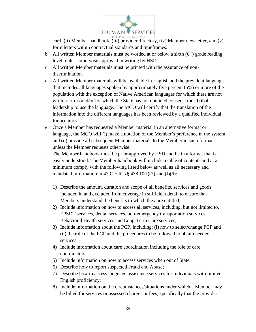

card, (ii) Member handbook, (iii) provider directory, (iv) Member newsletter, and (v) form letters within contractual standards and timeframes.

- b. All written Member materials must be worded at or below a sixth  $(6<sup>th</sup>)$  grade reading level, unless otherwise approved in writing by HSD.
- c. All written Member materials must be printed with the assurance of nondiscrimination.
- d. All written Member materials will be available in English and the prevalent language that includes all languages spoken by approximately five percent (5%) or more of the population with the exception of Native American languages for which there are not written forms and/or for which the State has not obtained consent from Tribal leadership to use the language. The MCO will certify that the translation of the information into the different languages has been reviewed by a qualified individual for accuracy.
- e. Once a Member has requested a Member material in an alternative format or language, the MCO will (i) make a notation of the Member's preference in the system and (ii) provide all subsequent Member materials to the Member in such format unless the Member requests otherwise.
- f. The Member handbook must be prior approved by HSD and be in a format that is easily understood. The Member handbook will include a table of contents and at a minimum comply with the following listed below as well as all necessary and mandated information in 42 C.F.R.  $\S$ § 438.10(f)(2) and (f)(6):
	- 1) Describe the amount, duration and scope of all benefits, services and goods included in and excluded from coverage in sufficient detail to ensure that Members understand the benefits to which they are entitled;
	- 2) Include information on how to access all services, including, but not limited to, EPSDT services, dental services, non-emergency transportation services, Behavioral Health services and Long-Term Care services;
	- 3) Include information about the PCP, including: (i) how to select/change PCP and (ii) the role of the PCP and the procedures to be followed to obtain needed services;
	- 4) Include information about care coordination including the role of care coordinators;
	- 5) Include information on how to access services when out of State;
	- 6) Describe how to report suspected Fraud and Abuse;
	- 7) Describe how to access language assistance services for individuals with limited English proficiency;
	- 8) Include information on the circumstances/situations under which a Member may be billed for services or assessed charges or fees; specifically that the provider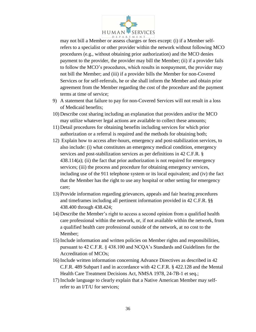

may not bill a Member or assess charges or fees except: (i) if a Member selfrefers to a specialist or other provider within the network without following MCO procedures (e.g., without obtaining prior authorization) and the MCO denies payment to the provider, the provider may bill the Member; (ii) if a provider fails to follow the MCO's procedures, which results in nonpayment, the provider may not bill the Member; and (iii) if a provider bills the Member for non-Covered Services or for self-referrals, he or she shall inform the Member and obtain prior agreement from the Member regarding the cost of the procedure and the payment terms at time of service;

- 9) A statement that failure to pay for non-Covered Services will not result in a loss of Medicaid benefits;
- 10) Describe cost sharing including an explanation that providers and/or the MCO may utilize whatever legal actions are available to collect these amounts;
- 11) Detail procedures for obtaining benefits including services for which prior authorization or a referral is required and the methods for obtaining both;
- 12) Explain how to access after-hours, emergency and post-stabilization services, to also include: (i) what constitutes an emergency medical condition, emergency services and post-stabilization services as per definitions in 42 C.F.R. §  $438.114(a)$ ; (ii) the fact that prior authorization is not required for emergency services; (iii) the process and procedure for obtaining emergency services, including use of the 911 telephone system or its local equivalent; and (iv) the fact that the Member has the right to use any hospital or other setting for emergency care;
- 13) Provide information regarding grievances, appeals and fair hearing procedures and timeframes including all pertinent information provided in 42 C.F.R. §§ 438.400 through 438.424;
- 14) Describe the Member's right to access a second opinion from a qualified health care professional within the network, or, if not available within the network, from a qualified health care professional outside of the network, at no cost to the Member;
- 15) Include information and written policies on Member rights and responsibilities, pursuant to 42 C.F.R. § 438.100 and NCQA's Standards and Guidelines for the Accreditation of MCOs;
- 16) Include written information concerning Advance Directives as described in 42 C.F.R. 489 Subpart I and in accordance with 42 C.F.R. § 422.128 and the Mental Health Care Treatment Decisions Act, NMSA 1978, 24-7B-1 et seq.;
- 17) Include language to clearly explain that a Native American Member may selfrefer to an I/T/U for services;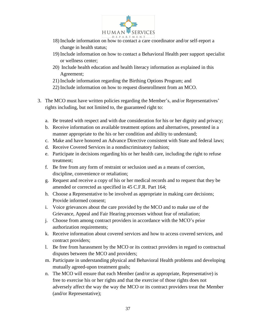

- 18) Include information on how to contact a care coordinator and/or self-report a change in health status;
- 19) Include information on how to contact a Behavioral Health peer support specialist or wellness center;
- 20) Include health education and health literacy information as explained in this Agreement;
- 21) Include information regarding the Birthing Options Program; and
- 22) Include information on how to request disenrollment from an MCO.
- 3. The MCO must have written policies regarding the Member's, and/or Representatives' rights including, but not limited to, the guaranteed right to:
	- a. Be treated with respect and with due consideration for his or her dignity and privacy;
	- b. Receive information on available treatment options and alternatives, presented in a manner appropriate to the his or her condition and ability to understand;
	- c. Make and have honored an Advance Directive consistent with State and federal laws;
	- d. Receive Covered Services in a nondiscriminatory fashion;
	- e. Participate in decisions regarding his or her health care, including the right to refuse treatment;
	- f. Be free from any form of restraint or seclusion used as a means of coercion, discipline, convenience or retaliation;
	- g. Request and receive a copy of his or her medical records and to request that they be amended or corrected as specified in 45 C.F.R. Part 164;
	- h. Choose a Representative to be involved as appropriate in making care decisions; Provide informed consent;
	- i. Voice grievances about the care provided by the MCO and to make use of the Grievance, Appeal and Fair Hearing processes without fear of retaliation;
	- j. Choose from among contract providers in accordance with the MCO's prior authorization requirements:
	- k. Receive information about covered services and how to access covered services, and contract providers;
	- l. Be free from harassment by the MCO or its contract providers in regard to contractual disputes between the MCO and providers;
	- m. Participate in understanding physical and Behavioral Health problems and developing mutually agreed-upon treatment goals;
	- n. The MCO will ensure that each Member (and/or as appropriate, Representative) is free to exercise his or her rights and that the exercise of those rights does not adversely affect the way the way the MCO or its contract providers treat the Member (and/or Representative);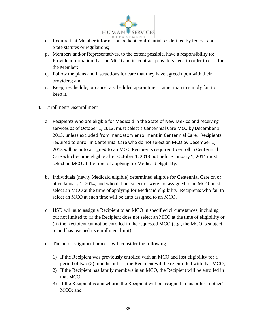

- o. Require that Member information be kept confidential, as defined by federal and State statutes or regulations;
- p. Members and/or Representatives, to the extent possible, have a responsibility to: Provide information that the MCO and its contract providers need in order to care for the Member;
- q. Follow the plans and instructions for care that they have agreed upon with their providers; and
- r. Keep, reschedule, or cancel a scheduled appointment rather than to simply fail to keep it.
- 4. Enrollment/Disenrollment
	- a. Recipients who are eligible for Medicaid in the State of New Mexico and receiving services as of October 1, 2013, must select a Centennial Care MCO by December 1, 2013, unless excluded from mandatory enrollment in Centennial Care. Recipients required to enroll in Centennial Care who do not select an MCO by December 1, 2013 will be auto assigned to an MCO. Recipients required to enroll in Centennial Care who become eligible after October 1, 2013 but before January 1, 2014 must select an MCO at the time of applying for Medicaid eligibility.
	- b. Individuals (newly Medicaid eligible) determined eligible for Centennial Care on or after January 1, 2014, and who did not select or were not assigned to an MCO must select an MCO at the time of applying for Medicaid eligibility. Recipients who fail to select an MCO at such time will be auto assigned to an MCO.
	- c. HSD will auto assign a Recipient to an MCO in specified circumstances, including but not limited to (i) the Recipient does not select an MCO at the time of eligibility or (ii) the Recipient cannot be enrolled in the requested MCO (e.g., the MCO is subject to and has reached its enrollment limit).
	- d. The auto assignment process will consider the following:
		- 1) If the Recipient was previously enrolled with an MCO and lost eligibility for a period of two (2) months or less, the Recipient will be re-enrolled with that MCO;
		- 2) If the Recipient has family members in an MCO, the Recipient will be enrolled in that MCO;
		- 3) If the Recipient is a newborn, the Recipient will be assigned to his or her mother's MCO; and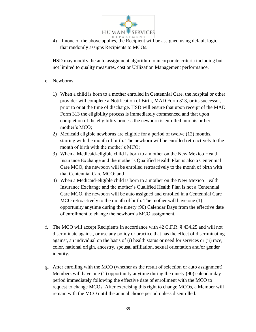

4) If none of the above applies, the Recipient will be assigned using default logic that randomly assigns Recipients to MCOs.

HSD may modify the auto assignment algorithm to incorporate criteria including but not limited to quality measures, cost or Utilization Management performance.

- e. Newborns
	- 1) When a child is born to a mother enrolled in Centennial Care, the hospital or other provider will complete a Notification of Birth, MAD Form 313, or its successor, prior to or at the time of discharge. HSD will ensure that upon receipt of the MAD Form 313 the eligibility process is immediately commenced and that upon completion of the eligibility process the newborn is enrolled into his or her mother's MCO;
	- 2) Medicaid eligible newborns are eligible for a period of twelve (12) months, starting with the month of birth. The newborn will be enrolled retroactively to the month of birth with the mother's MCO;
	- 3) When a Medicaid-eligible child is born to a mother on the New Mexico Health Insurance Exchange and the mother's Qualified Health Plan is also a Centennial Care MCO, the newborn will be enrolled retroactively to the month of birth with that Centennial Care MCO; and
	- 4) When a Medicaid-eligible child is born to a mother on the New Mexico Health Insurance Exchange and the mother's Qualified Health Plan is not a Centennial Care MCO, the newborn will be auto assigned and enrolled in a Centennial Care MCO retroactively to the month of birth. The mother will have one (1) opportunity anytime during the ninety (90) Calendar Days from the effective date of enrollment to change the newborn's MCO assignment.
- f. The MCO will accept Recipients in accordance with 42 C.F.R. § 434.25 and will not discriminate against, or use any policy or practice that has the effect of discriminating against, an individual on the basis of (i) health status or need for services or (ii) race, color, national origin, ancestry, spousal affiliation, sexual orientation and/or gender identity.
- g. After enrolling with the MCO (whether as the result of selection or auto assignment), Members will have one (1) opportunity anytime during the ninety (90) calendar day period immediately following the effective date of enrollment with the MCO to request to change MCOs. After exercising this right to change MCOs, a Member will remain with the MCO until the annual choice period unless disenrolled.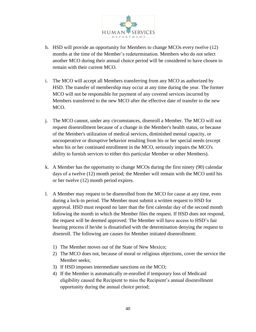

- h. HSD will provide an opportunity for Members to change MCOs every twelve (12) months at the time of the Member's redetermination. Members who do not select another MCO during their annual choice period will be considered to have chosen to remain with their current MCO.
- i. The MCO will accept all Members transferring from any MCO as authorized by HSD. The transfer of membership may occur at any time during the year. The former MCO will not be responsible for payment of any covered services incurred by Members transferred to the new MCO after the effective date of transfer to the new MCO.
- j. The MCO cannot, under any circumstances, disenroll a Member. The MCO will not request disenrollment because of a change in the Member's health status, or because of the Member's utilization of medical services, diminished mental capacity, or uncooperative or disruptive behavior resulting from his or her special needs (except when his or her continued enrollment in the MCO, seriously impairs the MCO's ability to furnish services to either this particular Member or other Members).
- k. A Member has the opportunity to change MCOs during the first ninety (90) calendar days of a twelve (12) month period; the Member will remain with the MCO until his or her twelve (12) month period expires.
- l. A Member may request to be disenrolled from the MCO for cause at any time, even during a lock-in period. The Member must submit a written request to HSD for approval. HSD must respond no later than the first calendar day of the second month following the month in which the Member files the request. If HSD does not respond, the request will be deemed approved. The Member will have access to HSD's fair hearing process if he/she is dissatisfied with the determination denying the request to disenroll. The following are causes for Member initiated disenrollment:
	- 1) The Member moves out of the State of New Mexico;
	- 2) The MCO does not, because of moral or religious objections, cover the service the Member seeks;
	- 3) If HSD imposes intermediate sanctions on the MCO;
	- 4) If the Member is automatically re-enrolled if temporary loss of Medicaid eligibility caused the Recipient to miss the Recipient's annual disenrollment opportunity during the annual choice period;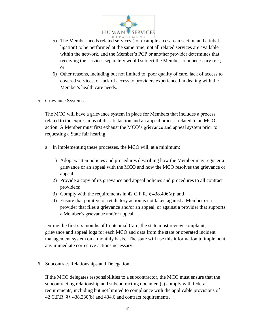

- 5) The Member needs related services (for example a cesarean section and a tubal ligation) to be performed at the same time, not all related services are available within the network, and the Member's PCP or another provider determines that receiving the services separately would subject the Member to unnecessary risk; or
- 6) Other reasons, including but not limited to, poor quality of care, lack of access to covered services, or lack of access to providers experienced in dealing with the Member's health care needs.
- 5. Grievance Systems

The MCO will have a grievance system in place for Members that includes a process related to the expressions of dissatisfaction and an appeal process related to an MCO action. A Member must first exhaust the MCO's grievance and appeal system prior to requesting a State fair hearing.

- a. In implementing these processes, the MCO will, at a minimum:
	- 1) Adopt written policies and procedures describing how the Member may register a grievance or an appeal with the MCO and how the MCO resolves the grievance or appeal;
	- 2) Provide a copy of its grievance and appeal policies and procedures to all contract providers;
	- 3) Comply with the requirements in 42 C.F.R. § 438.406(a); and
	- 4) Ensure that punitive or retaliatory action is not taken against a Member or a provider that files a grievance and/or an appeal, or against a provider that supports a Member's grievance and/or appeal.

During the first six months of Centennial Care, the state must review complaint, grievance and appeal logs for each MCO and data from the state or operated incident management system on a monthly basis. The state will use this information to implement any immediate corrective actions necessary.

6. Subcontract Relationships and Delegation

If the MCO delegates responsibilities to a subcontractor, the MCO must ensure that the subcontracting relationship and subcontracting document(s) comply with federal requirements, including but not limited to compliance with the applicable provisions of 42 C.F.R. §§ 438.230(b) and 434.6 and contract requirements.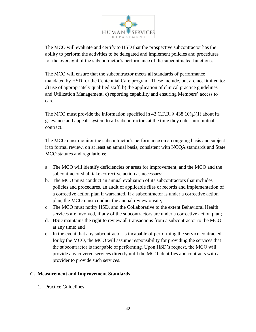

The MCO will evaluate and certify to HSD that the prospective subcontractor has the ability to perform the activities to be delegated and implement policies and procedures for the oversight of the subcontractor's performance of the subcontracted functions.

The MCO will ensure that the subcontractor meets all standards of performance mandated by HSD for the Centennial Care program. These include, but are not limited to: a) use of appropriately qualified staff, b) the application of clinical practice guidelines and Utilization Management, c) reporting capability and ensuring Members' access to care.

The MCO must provide the information specified in 42 C.F.R. § 438.10(g)(1) about its grievance and appeals system to all subcontractors at the time they enter into mutual contract.

The MCO must monitor the subcontractor's performance on an ongoing basis and subject it to formal review, on at least an annual basis, consistent with NCQA standards and State MCO statutes and regulations:

- a. The MCO will identify deficiencies or areas for improvement, and the MCO and the subcontractor shall take corrective action as necessary;
- b. The MCO must conduct an annual evaluation of its subcontractors that includes policies and procedures, an audit of applicable files or records and implementation of a corrective action plan if warranted. If a subcontractor is under a corrective action plan, the MCO must conduct the annual review onsite;
- c. The MCO must notify HSD, and the Collaborative to the extent Behavioral Health services are involved, if any of the subcontractors are under a corrective action plan;
- d. HSD maintains the right to review all transactions from a subcontractor to the MCO at any time; and
- e. In the event that any subcontractor is incapable of performing the service contracted for by the MCO, the MCO will assume responsibility for providing the services that the subcontractor is incapable of performing. Upon HSD's request, the MCO will provide any covered services directly until the MCO identifies and contracts with a provider to provide such services.

## **C. Measurement and Improvement Standards**

1. Practice Guidelines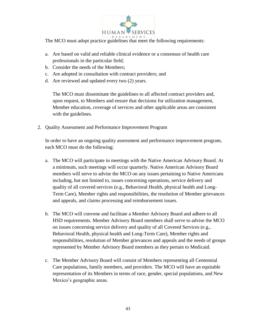

The MCO must adopt practice guidelines that meet the following requirements:

- a. Are based on valid and reliable clinical evidence or a consensus of health care professionals in the particular field;
- b. Consider the needs of the Members;
- c. Are adopted in consultation with contract providers; and
- d. Are reviewed and updated every two (2) years.

The MCO must disseminate the guidelines to all affected contract providers and, upon request, to Members and ensure that decisions for utilization management, Member education, coverage of services and other applicable areas are consistent with the guidelines.

2. Quality Assessment and Performance Improvement Program

In order to have an ongoing quality assessment and performance improvement program, each MCO must do the following:

- a. The MCO will participate in meetings with the Native American Advisory Board. At a minimum, such meetings will occur quarterly. Native American Advisory Board members will serve to advise the MCO on any issues pertaining to Native Americans including, but not limited to, issues concerning operations, service delivery and quality of all covered services (e.g., Behavioral Health, physical health and Long-Term Care), Member rights and responsibilities, the resolution of Member grievances and appeals, and claims processing and reimbursement issues.
- b. The MCO will convene and facilitate a Member Advisory Board and adhere to all HSD requirements. Member Advisory Board members shall serve to advise the MCO on issues concerning service delivery and quality of all Covered Services (e.g., Behavioral Health, physical health and Long-Term Care), Member rights and responsibilities, resolution of Member grievances and appeals and the needs of groups represented by Member Advisory Board members as they pertain to Medicaid.
- c. The Member Advisory Board will consist of Members representing all Centennial Care populations, family members, and providers. The MCO will have an equitable representation of its Members in terms of race, gender, special populations, and New Mexico's geographic areas.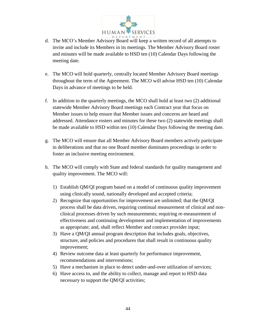

- d. The MCO's Member Advisory Board will keep a written record of all attempts to invite and include its Members in its meetings. The Member Advisory Board roster and minutes will be made available to HSD ten (10) Calendar Days following the meeting date.
- e. The MCO will hold quarterly, centrally located Member Advisory Board meetings throughout the term of the Agreement. The MCO will advise HSD ten (10) Calendar Days in advance of meetings to be held.
- f. In addition to the quarterly meetings, the MCO shall hold at least two (2) additional statewide Member Advisory Board meetings each Contract year that focus on Member issues to help ensure that Member issues and concerns are heard and addressed. Attendance rosters and minutes for these two (2) statewide meetings shall be made available to HSD within ten (10) Calendar Days following the meeting date.
- g. The MCO will ensure that all Member Advisory Board members actively participate in deliberations and that no one Board member dominates proceedings in order to foster an inclusive meeting environment.
- h. The MCO will comply with State and federal standards for quality management and quality improvement. The MCO will:
	- 1) Establish QM/QI program based on a model of continuous quality improvement using clinically sound, nationally developed and accepted criteria;
	- 2) Recognize that opportunities for improvement are unlimited; that the QM/QI process shall be data driven, requiring continual measurement of clinical and nonclinical processes driven by such measurements; requiring re-measurement of effectiveness and continuing development and implementation of improvements as appropriate; and, shall reflect Member and contract provider input;
	- 3) Have a QM/QI annual program description that includes goals, objectives, structure, and policies and procedures that shall result in continuous quality improvement;
	- 4) Review outcome data at least quarterly for performance improvement, recommendations and interventions;
	- 5) Have a mechanism in place to detect under-and-over utilization of services;
	- 6) Have access to, and the ability to collect, manage and report to HSD data necessary to support the QM/QI activities;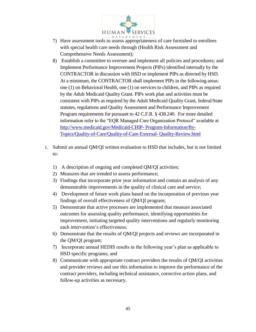

- 7) Have assessment tools to assess appropriateness of care furnished to enrollees with special health care needs through (Health Risk Assessment and Comprehensive Needs Assessment);
- 8) Establish a committee to oversee and implement all policies and procedures; and Implement Performance Improvement Projects (PIPs) identified internally by the CONTRACTOR in discussion with HSD or implement PIPs as directed by HSD. At a minimum, the CONTRACTOR shall implement PIPs in the following areas: one (1) on Behavioral Health, one (1) on services to children, and PIPs as required by the Adult Medicaid Quality Grant. PIPs work plan and activities must be consistent with PIPs as required by the Adult Medicaid Quality Grant, federal/State statutes, regulations and Quality Assessment and Performance Improvement Program requirements for pursuant to 42 C.F.R. § 438.240. For more detailed information refer to the "EQR Managed Care Organization Protocol" available at [http://www.medicaid.gov/Medicaid-CHIP-](http://www.medicaid.gov/Medicaid-CHIP-%20Program-Information/By-Topics/Quality-of-Care/Quality-of-Care-External-%20Quality-Review.html) Program-Information/By-[Topics/Quality-of-Care/Quality-of-Care-External-](http://www.medicaid.gov/Medicaid-CHIP-%20Program-Information/By-Topics/Quality-of-Care/Quality-of-Care-External-%20Quality-Review.html) Quality-Review.html
- i. Submit an annual QM/QI written evaluation to HSD that includes, but is not limited to:
	- 1) A description of ongoing and completed QM/QI activities;
	- 2) Measures that are trended to assess performance;
	- 3) Findings that incorporate prior year information and contain an analysis of any demonstrable improvements in the quality of clinical care and service;
	- 4) Development of future work plans based on the incorporation of previous year findings of overall effectiveness of QM/QI program;
	- 5) Demonstrate that active processes are implemented that measure associated outcomes for assessing quality performance, identifying opportunities for improvement, initiating targeted quality interventions and regularly monitoring each intervention's effectiveness;
	- 6) Demonstrate that the results of QM/QI projects and reviews are incorporated in the QM/QI program;
	- 7) Incorporate annual HEDIS results in the following year's plan as applicable to HSD specific programs; and
	- 8) Communicate with appropriate contract providers the results of QM/QI activities and provider reviews and use this information to improve the performance of the contract providers, including technical assistance, corrective action plans, and follow-up activities as necessary.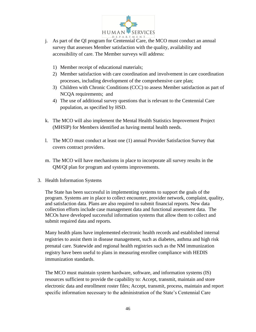

- j. As part of the QI program for Centennial Care, the MCO must conduct an annual survey that assesses Member satisfaction with the quality, availability and accessibility of care. The Member surveys will address:
	- 1) Member receipt of educational materials;
	- 2) Member satisfaction with care coordination and involvement in care coordination processes, including development of the comprehensive care plan;
	- 3) Children with Chronic Conditions (CCC) to assess Member satisfaction as part of NCQA requirements; and
	- 4) The use of additional survey questions that is relevant to the Centennial Care population, as specified by HSD.
- k. The MCO will also implement the Mental Health Statistics Improvement Project (MHSIP) for Members identified as having mental health needs.
- l. The MCO must conduct at least one (1) annual Provider Satisfaction Survey that covers contract providers.
- m. The MCO will have mechanisms in place to incorporate all survey results in the QM/QI plan for program and systems improvements.
- 3. Health Information Systems

The State has been successful in implementing systems to support the goals of the program. Systems are in place to collect encounter, provider network, complaint, quality, and satisfaction data. Plans are also required to submit financial reports. New data collection efforts include case management data and functional assessment data. The MCOs have developed successful information systems that allow them to collect and submit required data and reports.

Many health plans have implemented electronic health records and established internal registries to assist them in disease management, such as diabetes, asthma and high risk prenatal care. Statewide and regional health registries such as the NM immunization registry have been useful to plans in measuring enrollee compliance with HEDIS immunization standards.

The MCO must maintain system hardware, software, and information systems (IS) resources sufficient to provide the capability to: Accept, transmit, maintain and store electronic data and enrollment roster files; Accept, transmit, process, maintain and report specific information necessary to the administration of the State's Centennial Care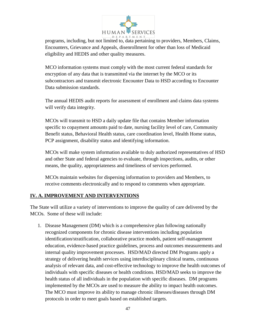

programs, including, but not limited to, data pertaining to providers, Members, Claims, Encounters, Grievance and Appeals, disenrollment for other than loss of Medicaid eligibility and HEDIS and other quality measures.

MCO information systems must comply with the most current federal standards for encryption of any data that is transmitted via the internet by the MCO or its subcontractors and transmit electronic Encounter Data to HSD according to Encounter Data submission standards.

The annual HEDIS audit reports for assessment of enrollment and claims data systems will verify data integrity.

MCOs will transmit to HSD a daily update file that contains Member information specific to copayment amounts paid to date, nursing facility level of care, Community Benefit status, Behavioral Health status, care coordination level, Health Home status, PCP assignment, disability status and identifying information.

MCOs will make system information available to duly authorized representatives of HSD and other State and federal agencies to evaluate, through inspections, audits, or other means, the quality, appropriateness and timeliness of services performed.

MCOs maintain websites for dispersing information to providers and Members, to receive comments electronically and to respond to comments when appropriate.

# **IV. A. IMPROVEMENT AND INTERVENTIONS**

The State will utilize a variety of interventions to improve the quality of care delivered by the MCOs. Some of these will include:

1. Disease Management (DM) which is a comprehensive plan following nationally recognized components for chronic disease interventions including population identification/stratification, collaborative practice models, patient self-management education, evidence-based practice guidelines, process and outcomes measurements and internal quality improvement processes. HSD/MAD directed DM Programs apply a strategy of delivering health services using interdisciplinary clinical teams, continuous analysis of relevant data, and cost-effective technology to improve the health outcomes of individuals with specific diseases or health conditions. HSD/MAD seeks to improve the health status of all individuals in the population with specific diseases. DM programs implemented by the MCOs are used to measure the ability to impact health outcomes. The MCO must improve its ability to manage chronic illnesses/diseases through DM protocols in order to meet goals based on established targets.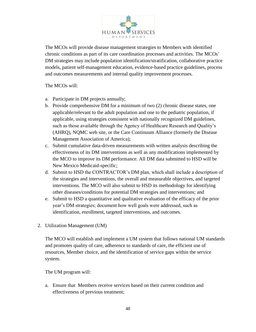

The MCOs will provide disease management strategies to Members with identified chronic conditions as part of its care coordination processes and activities. The MCOs' DM strategies may include population identification/stratification, collaborative practice models, patient self-management education, evidence-based practice guidelines, process and outcomes measurements and internal quality improvement processes.

The MCOs will:

- a. Participate in DM projects annually;
- b. Provide comprehensive DM for a minimum of two (2) chronic disease states, one applicable/relevant to the adult population and one to the pediatric population, if applicable, using strategies consistent with nationally recognized DM guidelines, such as those available through the Agency of Healthcare Research and Quality's (AHRQ), NQMC web site, or the Care Continuum Alliance (formerly the Disease Management Association of America);
- c. Submit cumulative data-driven measurements with written analysis describing the effectiveness of its DM interventions as well as any modifications implemented by the MCO to improve its DM performance. All DM data submitted to HSD will be New Mexico Medicaid-specific;
- d. Submit to HSD the CONTRACTOR's DM plan, which shall include a description of the strategies and interventions, the overall and measurable objectives, and targeted interventions. The MCO will also submit to HSD its methodology for identifying other diseases/conditions for potential DM strategies and interventions; and
- e. Submit to HSD a quantitative and qualitative evaluation of the efficacy of the prior year's DM strategies; document how well goals were addressed, such as identification, enrollment, targeted interventions, and outcomes.
- 2. Utilization Management (UM)

The MCO will establish and implement a UM system that follows national UM standards and promotes quality of care, adherence to standards of care, the efficient use of resources, Member choice, and the identification of service gaps within the service system.

The UM program will:

a. Ensure that Members receive services based on their current condition and effectiveness of previous treatment;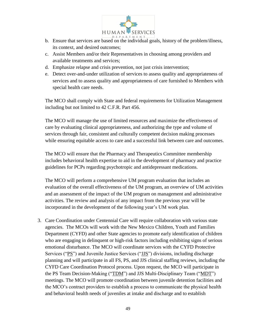

- b. Ensure that services are based on the individual goals, history of the problem/illness, its context, and desired outcomes;
- c. Assist Members and/or their Representatives in choosing among providers and available treatments and services;
- d. Emphasize relapse and crisis prevention, not just crisis intervention;
- e. Detect over-and-under utilization of services to assess quality and appropriateness of services and to assess quality and appropriateness of care furnished to Members with special health care needs.

The MCO shall comply with State and federal requirements for Utilization Management including but not limited to 42 C.F.R. Part 456.

The MCO will manage the use of limited resources and maximize the effectiveness of care by evaluating clinical appropriateness, and authorizing the type and volume of services through fair, consistent and culturally competent decision making processes while ensuring equitable access to care and a successful link between care and outcomes.

The MCO will ensure that the Pharmacy and Therapeutics Committee membership includes behavioral health expertise to aid in the development of pharmacy and practice guidelines for PCPs regarding psychotropic and antidepressant medications.

The MCO will perform a comprehensive UM program evaluation that includes an evaluation of the overall effectiveness of the UM program, an overview of UM activities and an assessment of the impact of the UM program on management and administrative activities. The review and analysis of any impact from the previous year will be incorporated in the development of the following year's UM work plan.

3. Care Coordination under Centennial Care will require collaboration with various state agencies. The MCOs will work with the New Mexico Children, Youth and Families Department (CYFD) and other State agencies to promote early identification of children who are engaging in delinquent or high-risk factors including exhibiting signs of serious emotional disturbance. The MCO will coordinate services with the CYFD Protective Services ("PS") and Juvenile Justice Services ("JJS") divisions, including discharge planning and will participate in all FS, PS, and JJS clinical staffing reviews, including the CYFD Care Coordination Protocol process. Upon request, the MCO will participate in the PS Team Decision-Making ("TDM") and JJS Multi-Disciplinary Team ("MDT") meetings. The MCO will promote coordination between juvenile detention facilities and the MCO's contract providers to establish a process to communicate the physical health and behavioral health needs of juveniles at intake and discharge and to establish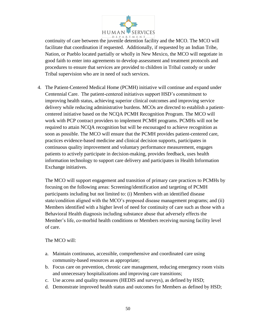

continuity of care between the juvenile detention facility and the MCO. The MCO will facilitate that coordination if requested. Additionally, if requested by an Indian Tribe, Nation, or Pueblo located partially or wholly in New Mexico, the MCO will negotiate in good faith to enter into agreements to develop assessment and treatment protocols and procedures to ensure that services are provided to children in Tribal custody or under Tribal supervision who are in need of such services.

4. The Patient-Centered Medical Home (PCMH) initiative will continue and expand under Centennial Care. The patient-centered initiatives support HSD's commitment to improving health status, achieving superior clinical outcomes and improving service delivery while reducing administrative burdens. MCOs are directed to establish a patientcentered initiative based on the NCQA PCMH Recognition Program. The MCO will work with PCP contract providers to implement PCMH programs. PCMHs will not be required to attain NCQA recognition but will be encouraged to achieve recognition as soon as possible. The MCO will ensure that the PCMH provides patient-centered care, practices evidence-based medicine and clinical decision supports, participates in continuous quality improvement and voluntary performance measurement, engages patients to actively participate in decision-making, provides feedback, uses health information technology to support care delivery and participates in Health Information Exchange initiatives.

The MCO will support engagement and transition of primary care practices to PCMHs by focusing on the following areas: Screening/identification and targeting of PCMH participants including but not limited to: (i) Members with an identified disease state/condition aligned with the MCO's proposed disease management programs; and (ii) Members identified with a higher level of need for continuity of care such as those with a Behavioral Health diagnosis including substance abuse that adversely effects the Member's life, co-morbid health conditions or Members receiving nursing facility level of care.

#### The MCO will:

- a. Maintain continuous, accessible, comprehensive and coordinated care using community-based resources as appropriate;
- b. Focus care on prevention, chronic care management, reducing emergency room visits and unnecessary hospitalizations and improving care transitions;
- c. Use access and quality measures (HEDIS and surveys), as defined by HSD;
- d. Demonstrate improved health status and outcomes for Members as defined by HSD;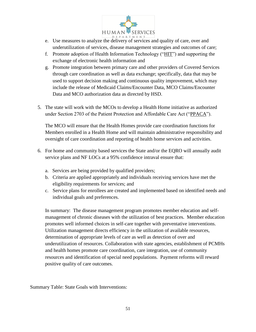

- e. Use measures to analyze the delivery of services and quality of care, over and underutilization of services, disease management strategies and outcomes of care;
- f. Promote adoption of Health Information Technology ("HIT") and supporting the exchange of electronic health information and
- g. Promote integration between primary care and other providers of Covered Services through care coordination as well as data exchange; specifically, data that may be used to support decision making and continuous quality improvement, which may include the release of Medicaid Claims/Encounter Data, MCO Claims/Encounter Data and MCO authorization data as directed by HSD.
- 5. The state will work with the MCOs to develop a Health Home initiative as authorized under Section 2703 of the Patient Protection and Affordable Care Act ("PPACA").

The MCO will ensure that the Health Homes provide care coordination functions for Members enrolled in a Health Home and will maintain administrative responsibility and oversight of care coordination and reporting of health home services and activities.

- 6. For home and community based services the State and/or the EQRO will annually audit service plans and NF LOCs at a 95% confidence intraval ensure that:
	- a. Services are being provided by qualified providers;
	- b. Criteria are applied appropriately and individuals receiving services have met the eligibility requirements for services; and
	- c. Service plans for enrollees are created and implemented based on identified needs and individual goals and preferences.

In summary: The disease management program promotes member education and selfmanagement of chronic diseases with the utilization of best practices. Member education promotes well informed choices in self-care together with preventative interventions. Utilization management directs efficiency in the utilization of available resources, determination of appropriate levels of care as well as detection of over and underutilization of resources. Collaboration with state agencies, establishment of PCMHs and health homes promote care coordination, care integration, use of community resources and identification of special need populations. Payment reforms will reward positive quality of care outcomes.

Summary Table: State Goals with Interventions: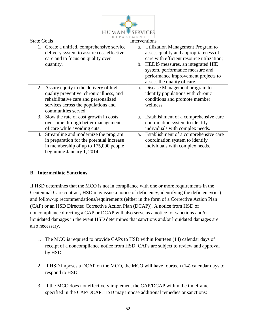

| <b>State Goals</b>                                                                                                                                                                         | Interventions                                                                                                                                                                                                                                                               |
|--------------------------------------------------------------------------------------------------------------------------------------------------------------------------------------------|-----------------------------------------------------------------------------------------------------------------------------------------------------------------------------------------------------------------------------------------------------------------------------|
| Create a unified, comprehensive service<br>delivery system to assure cost-effective<br>care and to focus on quality over<br>quantity.                                                      | a. Utilization Management Program to<br>assess quality and appropriateness of<br>care with efficient resource utilization;<br>b. HEDIS measures, an integrated HIE<br>system, performance measure and<br>performance improvement projects to<br>assess the quality of care. |
| 2. Assure equity in the delivery of high<br>quality preventive, chronic illness, and<br>rehabilitative care and personalized<br>services across the populations and<br>communities served. | Disease Management program to<br>a.<br>identify populations with chronic<br>conditions and promote member<br>wellness.                                                                                                                                                      |
| Slow the rate of cost growth in costs<br>3.<br>over time through better management<br>of care while avoiding cuts.                                                                         | a. Establishment of a comprehensive care<br>coordination system to identify<br>individuals with complex needs.                                                                                                                                                              |
| Streamline and modernize the program<br>4.<br>in preparation for the potential increase<br>in membership of up to 175,000 people<br>beginning January 1, 2014.                             | Establishment of a comprehensive care<br>a.<br>coordination system to identify<br>individuals with complex needs.                                                                                                                                                           |

## **B. Intermediate Sanctions**

If HSD determines that the MCO is not in compliance with one or more requirements in the Centennial Care contract, HSD may issue a notice of deficiency, identifying the deficiency(ies) and follow-up recommendations/requirements (either in the form of a Corrective Action Plan (CAP) or an HSD Directed Corrective Action Plan (DCAP)). A notice from HSD of noncompliance directing a CAP or DCAP will also serve as a notice for sanctions and/or liquidated damages in the event HSD determines that sanctions and/or liquidated damages are also necessary.

- 1. The MCO is required to provide CAPs to HSD within fourteen (14) calendar days of receipt of a noncompliance notice from HSD. CAPs are subject to review and approval by HSD.
- 2. If HSD imposes a DCAP on the MCO, the MCO will have fourteen (14) calendar days to respond to HSD.
- 3. If the MCO does not effectively implement the CAP/DCAP within the timeframe specified in the CAP/DCAP, HSD may impose additional remedies or sanctions: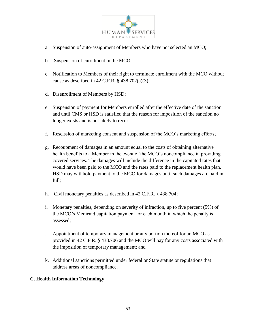

- a. Suspension of auto-assignment of Members who have not selected an MCO;
- b. Suspension of enrollment in the MCO;
- c. Notification to Members of their right to terminate enrollment with the MCO without cause as described in 42 C.F.R. § 438.702(a)(3);
- d. Disenrollment of Members by HSD;
- e. Suspension of payment for Members enrolled after the effective date of the sanction and until CMS or HSD is satisfied that the reason for imposition of the sanction no longer exists and is not likely to recur;
- f. Rescission of marketing consent and suspension of the MCO's marketing efforts;
- g. Recoupment of damages in an amount equal to the costs of obtaining alternative health benefits to a Member in the event of the MCO's noncompliance in providing covered services. The damages will include the difference in the capitated rates that would have been paid to the MCO and the rates paid to the replacement health plan. HSD may withhold payment to the MCO for damages until such damages are paid in full;
- h. Civil monetary penalties as described in 42 C.F.R. § 438.704;
- i. Monetary penalties, depending on severity of infraction, up to five percent (5%) of the MCO's Medicaid capitation payment for each month in which the penalty is assessed;
- j. Appointment of temporary management or any portion thereof for an MCO as provided in 42 C.F.R. § 438.706 and the MCO will pay for any costs associated with the imposition of temporary management; and
- k. Additional sanctions permitted under federal or State statute or regulations that address areas of noncompliance.

## **C. Health Information Technology**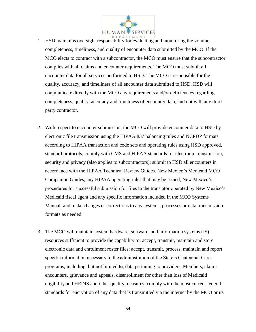

- 1. HSD maintains oversight responsibility for evaluating and monitoring the volume, completeness, timeliness, and quality of encounter data submitted by the MCO. If the MCO elects to contract with a subcontractor, the MCO must ensure that the subcontractor complies with all claims and encounter requirements. The MCO must submit all encounter data for all services performed to HSD. The MCO is responsible for the quality, accuracy, and timeliness of all encounter data submitted to HSD. HSD will communicate directly with the MCO any requirements and/or deficiencies regarding completeness, quality, accuracy and timeliness of encounter data, and not with any third party contractor.
- 2. With respect to encounter submission, the MCO will provide encounter data to HSD by electronic file transmission using the HIPAA 837 balancing rules and NCPDP formats according to HIPAA transaction and code sets and operating rules using HSD approved, standard protocols; comply with CMS and HIPAA standards for electronic transmission, security and privacy (also applies to subcontractors); submit to HSD all encounters in accordance with the HIPAA Technical Review Guides, New Mexico's Medicaid MCO Companion Guides, any HIPAA operating rules that may be issued, New Mexico's procedures for successful submission for files to the translator operated by New Mexico's Medicaid fiscal agent and any specific information included in the MCO Systems Manual; and make changes or corrections to any systems, processes or data transmission formats as needed.
- 3. The MCO will maintain system hardware, software, and information systems (IS) resources sufficient to provide the capability to: accept, transmit, maintain and store electronic data and enrollment roster files; accept, transmit, process, maintain and report specific information necessary to the administration of the State's Centennial Care programs, including, but not limited to, data pertaining to providers, Members, claims, encounters, grievance and appeals, disenrollment for other than loss of Medicaid eligibility and HEDIS and other quality measures; comply with the most current federal standards for encryption of any data that is transmitted via the internet by the MCO or its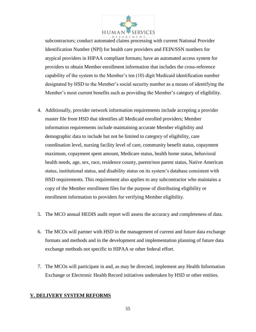

subcontractors; conduct automated claims processing with current National Provider Identification Number (NPI) for health care providers and FEIN/SSN numbers for atypical providers in HIPAA compliant formats; have an automated access system for providers to obtain Member enrollment information that includes the cross-reference capability of the system to the Member's ten (10) digit Medicaid identification number designated by HSD to the Member's social security number as a means of identifying the Member's most current benefits such as providing the Member's category of eligibility.

- 4. Additionally, provider network information requirements include accepting a provider master file from HSD that identifies all Medicaid enrolled providers; Member information requirements include maintaining accurate Member eligibility and demographic data to include but not be limited to category of eligibility, care coordination level, nursing facility level of care, community benefit status, copayment maximum, copayment spent amount, Medicare status, health home status, behavioral health needs, age, sex, race, residence county, parent/non parent status, Native American status, institutional status, and disability status on its system's database consistent with HSD requirements. This requirement also applies to any subcontractor who maintains a copy of the Member enrollment files for the purpose of distributing eligibility or enrollment information to providers for verifying Member eligibility.
- 5. The MCO annual HEDIS audit report will assess the accuracy and completeness of data.
- 6. The MCOs will partner with HSD in the management of current and future data exchange formats and methods and in the development and implementation planning of future data exchange methods not specific to HIPAA or other federal effort.
- 7. The MCOs will participate in and, as may be directed, implement any Health Information Exchange or Electronic Health Record initiatives undertaken by HSD or other entities.

## **V. DELIVERY SYSTEM REFORMS**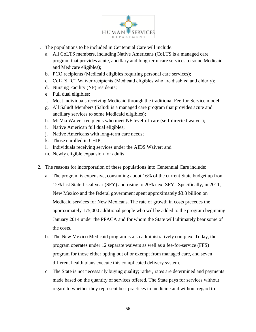

- 1. The populations to be included in Centennial Care will include:
	- a. All CoLTS members, including Native Americans (CoLTS is a managed care program that provides acute, ancillary and long-term care services to some Medicaid and Medicare eligibles);
	- b. PCO recipients (Medicaid eligibles requiring personal care services);
	- c. CoLTS "C" Waiver recipients (Medicaid eligibles who are disabled and elderly);
	- d. Nursing Facility (NF) residents;
	- e. Full dual eligibles;
	- f. Most individuals receiving Medicaid through the traditional Fee-for-Service model;
	- g. All Salud! Members (Salud! is a managed care program that provides acute and ancillary services to some Medicaid eligibles);
	- h. Mi Via Waiver recipients who meet NF level-of-care (self-directed waiver);
	- i. Native American full dual eligibles;
	- j. Native Americans with long-term care needs;
	- k. Those enrolled in CHIP;
	- l. Individuals receiving services under the AIDS Waiver; and
	- m. Newly eligible expansion for adults.
- 2. The reasons for incorporation of these populations into Centennial Care include:
	- a. The program is expensive, consuming about 16% of the current State budget up from 12% last State fiscal year (SFY) and rising to 20% next SFY. Specifically, in 2011, New Mexico and the federal government spent approximately \$3.8 billion on Medicaid services for New Mexicans. The rate of growth in costs precedes the approximately 175,000 additional people who will be added to the program beginning January 2014 under the PPACA and for whom the State will ultimately bear some of the costs.
	- b. The New Mexico Medicaid program is also administratively complex. Today, the program operates under 12 separate waivers as well as a fee-for-service (FFS) program for those either opting out of or exempt from managed care, and seven different health plans execute this complicated delivery system.
	- c. The State is not necessarily buying quality; rather, rates are determined and payments made based on the quantity of services offered. The State pays for services without regard to whether they represent best practices in medicine and without regard to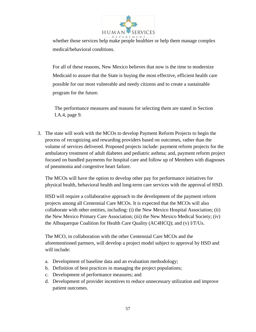

whether those services help make people healthier or help them manage complex medical/behavioral conditions.

For all of these reasons, New Mexico believes that now is the time to modernize Medicaid to assure that the State is buying the most effective, efficient health care possible for our most vulnerable and needy citizens and to create a sustainable program for the future.

The performance measures and reasons for selecting them are stated in Section I.A.4, page 9.

3. The state will work with the MCOs to develop Payment Reform Projects to begin the process of recognizing and rewarding providers based on outcomes, rather than the volume of services delivered. Proposed projects include: payment reform projects for the ambulatory treatment of adult diabetes and pediatric asthma; and, payment reform project focused on bundled payments for hospital care and follow up of Members with diagnoses of pneumonia and congestive heart failure.

The MCOs will have the option to develop other pay for performance initiatives for physical health, behavioral health and long-term care services with the approval of HSD.

HSD will require a collaborative approach to the development of the payment reform projects among all Centennial Care MCOs. It is expected that the MCOs will also collaborate with other entities, including: (i) the New Mexico Hospital Association; (ii) the New Mexico Primary Care Association; (iii) the New Mexico Medical Society; (iv) the Albuquerque Coalition for Health Care Quality (AC4HCQ); and (v) I/T/Us.

The MCO, in collaboration with the other Centennial Care MCOs and the aforementioned partners, will develop a project model subject to approval by HSD and will include:

- a. Development of baseline data and an evaluation methodology;
- b. Definition of best practices in managing the project populations;
- c. Development of performance measures; and
- d. Development of provider incentives to reduce unnecessary utilization and improve patient outcomes.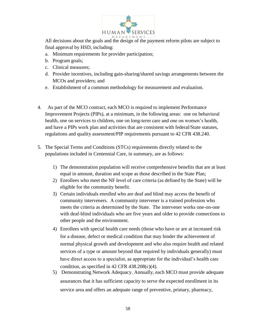

All decisions about the goals and the design of the payment reform pilots are subject to final approval by HSD, including:

- a. Minimum requirements for provider participation;
- b. Program goals;
- c. Clinical measures;
- d. Provider incentives, including gain-sharing/shared savings arrangements between the MCOs and providers; and
- e. Establishment of a common methodology for measurement and evaluation.
- 4. As part of the MCO contract, each MCO is required to implement Performance Improvement Projects (PIPs), at a minimum, in the following areas: one on behavioral health, one on services to children, one on long-term care and one on women's health, and have a PIPs work plan and activities that are consistent with federal/State statutes, regulations and quality assessment/PIP requirements pursuant to 42 CFR 438.240.
- 5. The Special Terms and Conditions (STCs) requirements directly related to the populations included in Centennial Care, in summary, are as follows:
	- 1) The demonstration population will receive comprehensive benefits that are at least equal in amount, duration and scope as those described in the State Plan;
	- 2) Enrollees who meet the NF level of care criteria (as defined by the State) will be eligible for the community benefit.
	- 3) Certain individuals enrolled who are deaf and blind may access the benefit of community interveners. A community intervener is a trained profession who meets the criteria as determined by the State. The intervener works one-on-one with deaf-blind individuals who are five years and older to provide connections to other people and the environment.
	- 4) Enrollees with special health care needs (those who have or are at increased risk for a disease, defect or medical condition that may hinder the achievement of normal physical growth and development and who also require health and related services of a type or amount beyond that required by individuals generally) must have direct access to a specialist, as appropriate for the individual's health care condition, as specified in  $42$  CFR  $438.208(c)(4)$ .
	- 5) Demonstrating Network Adequacy. Annually, each MCO must provide adequate assurances that it has sufficient capacity to serve the expected enrollment in its service area and offers an adequate range of preventive, primary, pharmacy,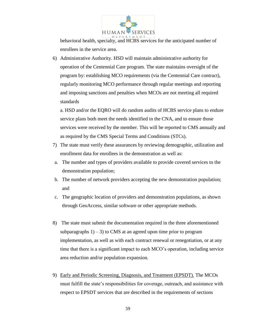

behavioral health, specialty, and HCBS services for the anticipated number of enrollees in the service area.

6) Administrative Authority. HSD will maintain administrative authority for operation of the Centennial Care program. The state maintains oversight of the program by: establishing MCO requirements (via the Centennial Care contract), regularly monitoring MCO performance through regular meetings and reporting and imposing sanctions and penalties when MCOs are not meeting all required standards

a. HSD and/or the EQRO will do random audits of HCBS service plans to endure service plans both meet the needs identified in the CNA, and to ensure those services were received by the member. This will be reported to CMS annually and as required by the CMS Special Terms and Conditions (STCs).

- 7) The state must verify these assurances by reviewing demographic, utilization and enrollment data for enrollees in the demonstration as well as:
- a. The number and types of providers available to provide covered services to the demonstration population;
- b. The number of network providers accepting the new demonstration population; and
- c. The geographic location of providers and demonstration populations, as shown through GeoAccess, similar software or other appropriate methods.
- 8) The state must submit the documentation required in the three aforementioned subparagraphs  $1$ ) – 3) to CMS at an agreed upon time prior to program implementation, as well as with each contract renewal or renegotiation, or at any time that there is a significant impact to each MCO's operation, including service area reduction and/or population expansion.
- 9) Early and Periodic Screening, Diagnosis, and Treatment (EPSDT). The MCOs must fulfill the state's responsibilities for coverage, outreach, and assistance with respect to EPSDT services that are described in the requirements of sections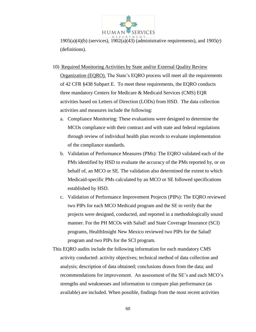

 $1905(a)(4)(b)$  (services),  $1902(a)(43)$  (administrative requirements), and  $1905(r)$ (definitions).

- 10) Required Monitoring Activities by State and/or External Quality Review Organization (EQRO). The State's EQRO process will meet all the requirements of 42 CFR §438 Subpart E. To meet these requirements, the EQRO conducts three mandatory Centers for Medicare & Medicaid Services (CMS) EQR activities based on Letters of Direction (LODs) from HSD. The data collection activities and measures include the following:
	- a. Compliance Monitoring: These evaluations were designed to determine the MCOs compliance with their contract and with state and federal regulations through review of individual health plan records to evaluate implementation of the compliance standards.
	- b. Validation of Performance Measures (PMs): The EQRO validated each of the PMs identified by HSD to evaluate the accuracy of the PMs reported by, or on behalf of, an MCO or SE. The validation also determined the extent to which Medicaid-specific PMs calculated by an MCO or SE followed specifications established by HSD.
	- c. Validation of Performance Improvement Projects (PIPs): The EQRO reviewed two PIPs for each MCO Medicaid program and the SE to verify that the projects were designed, conducted, and reported in a methodologically sound manner. For the PH MCOs with Salud! and State Coverage Insurance (SCI) programs, HealthInsight New Mexico reviewed two PIPs for the Salud! program and two PIPs for the SCI program.
- This EQRO audits include the following information for each mandatory CMS activity conducted: activity objectives; technical method of data collection and analysis; description of data obtained; conclusions drawn from the data; and recommendations for improvement. An assessment of the SE's and each MCO's strengths and weaknesses and information to compare plan performance (as available) are included. When possible, findings from the most recent activities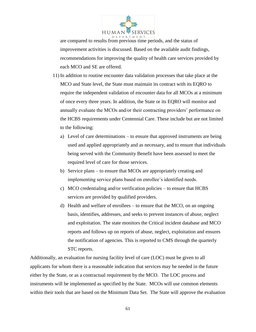

are compared to results from previous time periods, and the status of improvement activities is discussed. Based on the available audit findings, recommendations for improving the quality of health care services provided by each MCO and SE are offered.

- 11) In addition to routine encounter data validation processes that take place at the MCO and State level, the State must maintain its contract with its EQRO to require the independent validation of encounter data for all MCOs at a minimum of once every three years. In addition, the State or its EQRO will monitor and annually evaluate the MCOs and/or their contracting providers' performance on the HCBS requirements under Centennial Care. These include but are not limited to the following:
	- a) Level of care determinations to ensure that approved instruments are being used and applied appropriately and as necessary, and to ensure that individuals being served with the Community Benefit have been assessed to meet the required level of care for those services.
	- b) Service plans to ensure that MCOs are appropriately creating and implementing service plans based on enrollee's identified needs.
	- c) MCO credentialing and/or verification policies to ensure that HCBS services are provided by qualified providers.
	- d) Health and welfare of enrollees to ensure that the MCO, on an ongoing basis, identifies, addresses, and seeks to prevent instances of abuse, neglect and exploitation. The state monitors the Critical incident database and MCO reports and follows up on reports of abuse, neglect, exploitation and ensures the notification of agencies. This is reported to CMS through the quarterly STC reports.

Additionally, an evaluation for nursing facility level of care (LOC) must be given to all applicants for whom there is a reasonable indication that services may be needed in the future either by the State, or as a contractual requirement by the MCO. The LOC process and instruments will be implemented as specified by the State. MCOs will use common elements within their tools that are based on the Minimum Data Set. The State will approve the evaluation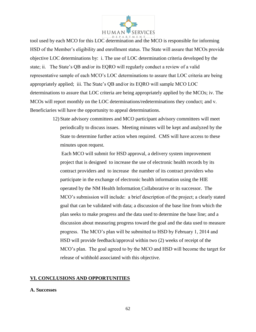

tool used by each MCO for this LOC determination and the MCO is responsible for informing HSD of the Member's eligibility and enrollment status. The State will assure that MCOs provide objective LOC determinations by: i. The use of LOC determination criteria developed by the state; ii. The State's QB and/or its EQRO will regularly conduct a review of a valid representative sample of each MCO's LOC determinations to assure that LOC criteria are being appropriately applied; iii. The State's QB and/or its EQRO will sample MCO LOC determinations to assure that LOC criteria are being appropriately applied by the MCOs; iv. The MCOs will report monthly on the LOC determinations/redeterminations they conduct; and v. Beneficiaries will have the opportunity to appeal determinations.

> 12) State advisory committees and MCO participant advisory committees will meet periodically to discuss issues. Meeting minutes will be kept and analyzed by the State to determine further action when required. CMS will have access to these minutes upon request.

Each MCO will submit for HSD approval, a delivery system improvement project that is designed to increase the use of electronic health records by its contract providers and to increase the number of its contract providers who participate in the exchange of electronic health information using the HIE operated by the NM Health Information Collaborative or its successor. The MCO's submission will include: a brief description of the project; a clearly stated goal that can be validated with data; a discussion of the base line from which the plan seeks to make progress and the data used to determine the base line; and a discussion about measuring progress toward the goal and the data used to measure progress. The MCO's plan will be submitted to HSD by February 1, 2014 and HSD will provide feedback/approval within two (2) weeks of receipt of the MCO's plan. The goal agreed to by the MCO and HSD will become the target for release of withhold associated with this objective.

#### **VI. CONCLUSIONS AND OPPORTUNITIES**

#### **A. Successes**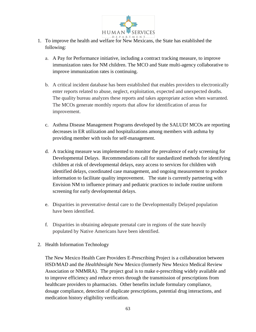

- 1. To improve the health and welfare for New Mexicans, the State has established the following:
	- a. A Pay for Performance initiative, including a contract tracking measure, to improve immunization rates for NM children. The MCO and State multi-agency collaborative to improve immunization rates is continuing.
	- b. A critical incident database has been established that enables providers to electronically enter reports related to abuse, neglect, exploitation, expected and unexpected deaths. The quality bureau analyzes these reports and takes appropriate action when warranted. The MCOs generate monthly reports that allow for identification of areas for improvement.
	- c. Asthma Disease Management Programs developed by the SALUD! MCOs are reporting decreases in ER utilization and hospitalizations among members with asthma by providing member with tools for self-management.
	- d. A tracking measure was implemented to monitor the prevalence of early screening for Developmental Delays. Recommendations call for standardized methods for identifying children at risk of developmental delays, easy access to services for children with identified delays, coordinated case management, and ongoing measurement to produce information to facilitate quality improvement. The state is currently partnering with Envision NM to influence primary and pediatric practices to include routine uniform screening for early developmental delays.
	- e. Disparities in preventative dental care to the Developmentally Delayed population have been identified.
	- f. Disparities in obtaining adequate prenatal care in regions of the state heavily populated by Native Americans have been identified.
- 2. Health Information Technology

The New Mexico Health Care Providers E-Prescribing Project is a collaboration between HSD/MAD and the *HealthInsight* New Mexico (formerly New Mexico Medical Review Association or NMMRA). The project goal is to make e-prescribing widely available and to improve efficiency and reduce errors through the transmission of prescriptions from healthcare providers to pharmacists. Other benefits include formulary compliance, dosage compliance, detection of duplicate prescriptions, potential drug interactions, and medication history eligibility verification.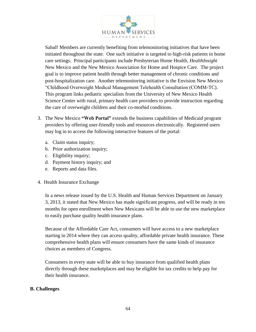

Salud! Members are currently benefiting from telemonitoring initiatives that have been initiated throughout the state. One such initiative is targeted to high-risk patients in home care settings. Principal participants include Presbyterian Home Health, *HealthInsight*  New Mexico and the New Mexico Association for Home and Hospice Care. The project goal is to improve patient health through better management of chronic conditions and post-hospitalization care. Another telemonitoring initiative is the Envision New Mexico "Childhood Overweight Medical Management Telehealth Consultation (COMM-TC). This program links pediatric specialists from the University of New Mexico Health Science Center with rural, primary health care providers to provide instruction regarding the care of overweight children and their co-morbid conditions.

- 3. The New Mexico **"Web Portal"** extends the business capabilities of Medicaid program providers by offering user-friendly tools and resources electronically. Registered users may log in to access the following interactive features of the portal:
	- a. Claim status inquiry;
	- b. Prior authorization inquiry;
	- c. Eligibility inquiry;
	- d. Payment history inquiry; and
	- e. Reports and data files.
- 4. Health Insurance Exchange

In a news release issued by the U.S. Health and Human Services Department on January 3, 2013, it stated that New Mexico has made significant progress, and will be ready in ten months for open enrollment when New Mexicans will be able to use the new marketplace to easily purchase quality health insurance plans.

Because of the Affordable Care Act, consumers will have access to a new marketplace starting in 2014 where they can access quality, affordable private health insurance. These comprehensive health plans will ensure consumers have the same kinds of insurance choices as members of Congress.

Consumers in every state will be able to buy insurance from qualified health plans directly through these marketplaces and may be eligible for tax credits to help pay for their health insurance.

## **B. Challenges**